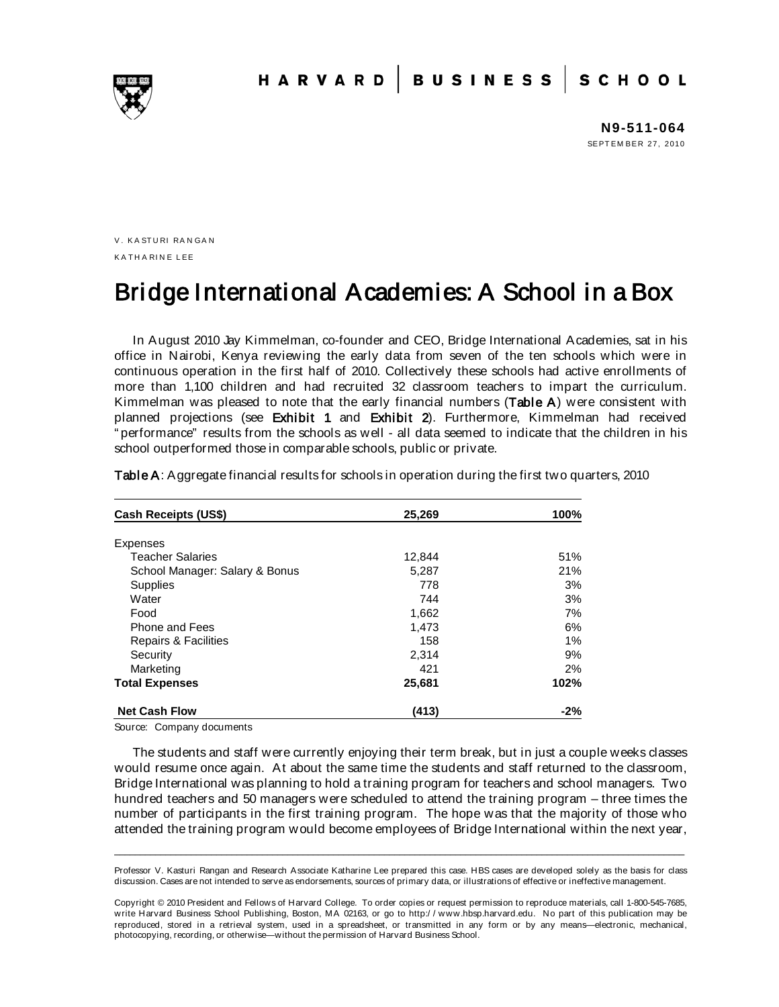**N9-511-064** SEPT EM BER 27, 2010

V. KASTURI RANGAN KA TH A RIN E LEE

# Bridge International Academies: A School in a Box

In August 2010 Jay Kimmelman, co-founder and CEO, Bridge International Academies, sat in his office in Nairobi, Kenya reviewing the early data from seven of the ten schools which were in continuous operation in the first half of 2010. Collectively these schools had active enrollments of more than 1,100 children and had recruited 32 classroom teachers to impart the curriculum. Kimmelman was pleased to note that the early financial numbers (Table A) were consistent with planned projections (see Exhibit 1 and Exhibit 2). Furthermore, Kimmelman had received " performance" results from the schools as well - all data seemed to indicate that the children in his school outperformed those in comparable schools, public or private.

| Cash Receipts (US\$)           | 25,269 | 100%  |
|--------------------------------|--------|-------|
| <b>Expenses</b>                |        |       |
| <b>Teacher Salaries</b>        | 12,844 | 51%   |
| School Manager: Salary & Bonus | 5,287  | 21%   |
| <b>Supplies</b>                | 778    | 3%    |
| Water                          | 744    | 3%    |
| Food                           | 1,662  | 7%    |
| Phone and Fees                 | 1.473  | 6%    |
| Repairs & Facilities           | 158    | 1%    |
| Security                       | 2,314  | 9%    |
| Marketing                      | 421    | 2%    |
| <b>Total Expenses</b>          | 25,681 | 102%  |
| <b>Net Cash Flow</b>           | (413)  | $-2%$ |

Table A: Aggregate financial results for schools in operation during the first two quarters, 2010

Source: Company documents

The students and staff were currently enjoying their term break, but in just a couple weeks classes would resume once again. At about the same time the students and staff returned to the classroom, Bridge International was planning to hold a training program for teachers and school managers. Two hundred teachers and 50 managers were scheduled to attend the training program – three times the number of participants in the first training program. The hope was that the majority of those who attended the training program would become employees of Bridge International within the next year,

\_\_\_\_\_\_\_\_\_\_\_\_\_\_\_\_\_\_\_\_\_\_\_\_\_\_\_\_\_\_\_\_\_\_\_\_\_\_\_\_\_\_\_\_\_\_\_\_\_\_\_\_\_\_\_\_\_\_\_\_\_\_\_\_\_\_\_\_\_\_\_\_\_\_\_\_\_\_\_\_\_\_\_\_\_\_\_\_\_\_\_\_\_\_\_\_\_\_\_\_\_\_\_\_\_\_\_\_\_\_\_\_ Professor V. Kasturi Rangan and Research Associate Katharine Lee prepared this case. HBS cases are developed solely as the basis for class discussion. Cases are not intended to serve as endorsements, sources of primary data, or illustrations of effective or ineffective management.

Copyright © 2010 President and Fellows of Harvard College. To order copies or request permission to reproduce materials, call 1-800-545-7685, write Harvard Business School Publishing, Boston, MA 02163, or go to http:/ / www.hbsp.harvard.edu. No part of this publication may be reproduced, stored in a retrieval system, used in a spreadsheet, or transmitted in any form or by any means—electronic, mechanical, photocopying, recording, or otherwise—without the permission of Harvard Business School.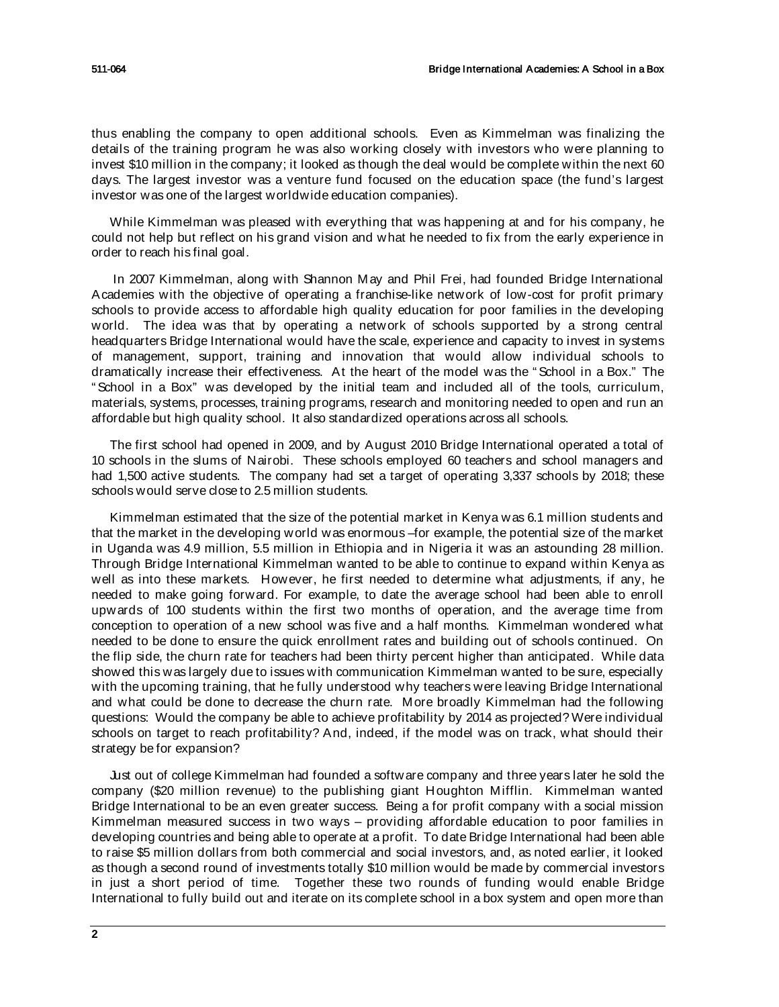thus enabling the company to open additional schools. Even as Kimmelman was finalizing the details of the training program he was also working closely with investors who were planning to invest \$10 million in the company; it looked as though the deal would be complete within the next 60 days. The largest investor was a venture fund focused on the education space (the fund's largest investor was one of the largest worldwide education companies).

While Kimmelman was pleased with everything that was happening at and for his company, he could not help but reflect on his grand vision and what he needed to fix from the early experience in order to reach his final goal.

In 2007 Kimmelman, along with Shannon May and Phil Frei, had founded Bridge International Academies with the objective of operating a franchise-like network of low-cost for profit primary schools to provide access to affordable high quality education for poor families in the developing world. The idea was that by operating a network of schools supported by a strong central headquarters Bridge International would have the scale, experience and capacity to invest in systems of management, support, training and innovation that would allow individual schools to dramatically increase their effectiveness. At the heart of the model was the " School in a Box." The " School in a Box" was developed by the initial team and included all of the tools, curriculum, materials, systems, processes, training programs, research and monitoring needed to open and run an affordable but high quality school. It also standardized operations across all schools.

The first school had opened in 2009, and by August 2010 Bridge International operated a total of 10 schools in the slums of Nairobi. These schools employed 60 teachers and school managers and had 1,500 active students. The company had set a target of operating 3,337 schools by 2018; these schools would serve close to 2.5 million students.

Kimmelman estimated that the size of the potential market in Kenya was 6.1 million students and that the market in the developing world was enormous –for example, the potential size of the market in Uganda was 4.9 million, 5.5 million in Ethiopia and in Nigeria it was an astounding 28 million. Through Bridge International Kimmelman wanted to be able to continue to expand within Kenya as well as into these markets. However, he first needed to determine what adjustments, if any, he needed to make going forward. For example, to date the average school had been able to enroll upwards of 100 students within the first two months of operation, and the average time from conception to operation of a new school was five and a half months. Kimmelman wondered what needed to be done to ensure the quick enrollment rates and building out of schools continued. On the flip side, the churn rate for teachers had been thirty percent higher than anticipated. While data showed this was largely due to issues with communication Kimmelman wanted to be sure, especially with the upcoming training, that he fully understood why teachers were leaving Bridge International and what could be done to decrease the churn rate. More broadly Kimmelman had the following questions: Would the company be able to achieve profitability by 2014 as projected? Were individual schools on target to reach profitability? And, indeed, if the model was on track, what should their strategy be for expansion?

Just out of college Kimmelman had founded a software company and three years later he sold the company (\$20 million revenue) to the publishing giant Houghton Mifflin. Kimmelman wanted Bridge International to be an even greater success. Being a for profit company with a social mission Kimmelman measured success in two ways – providing affordable education to poor families in developing countries and being able to operate at a profit. To date Bridge International had been able to raise \$5 million dollars from both commercial and social investors, and, as noted earlier, it looked as though a second round of investments totally \$10 million would be made by commercial investors in just a short period of time. Together these two rounds of funding would enable Bridge International to fully build out and iterate on its complete school in a box system and open more than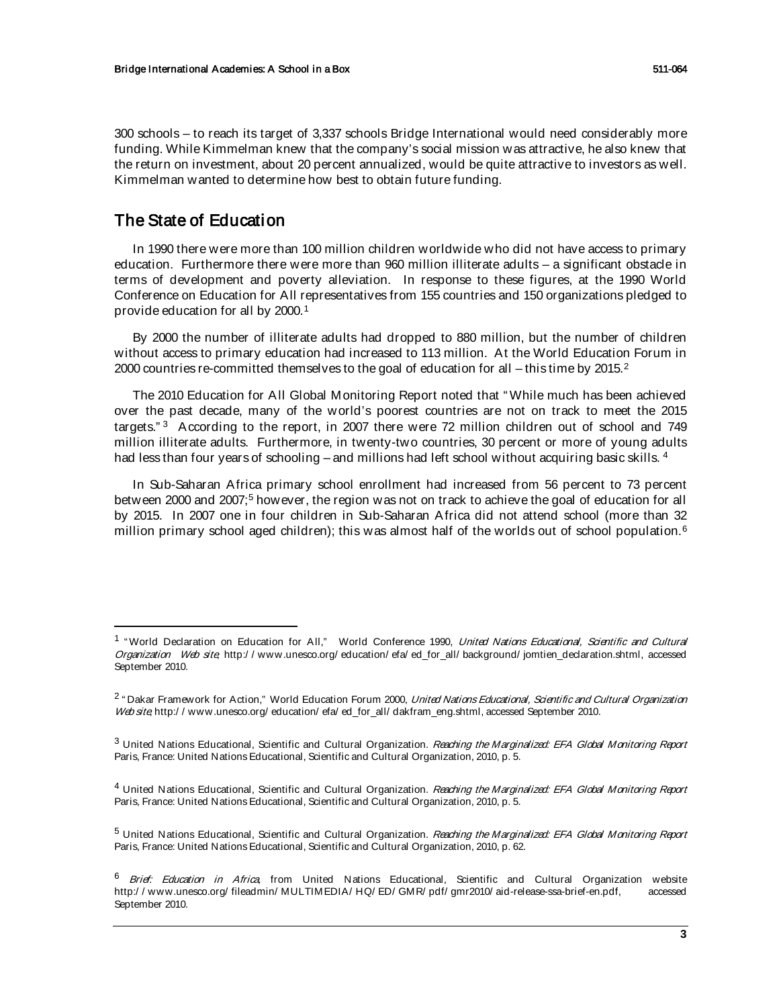300 schools – to reach its target of 3,337 schools Bridge International would need considerably more funding. While Kimmelman knew that the company's social mission was attractive, he also knew that the return on investment, about 20 percent annualized, would be quite attractive to investors as well. Kimmelman wanted to determine how best to obtain future funding.

# The State of Education

In 1990 there were more than 100 million children worldwide who did not have access to primary education. Furthermore there were more than 960 million illiterate adults – a significant obstacle in terms of development and poverty alleviation. In response to these figures, at the 1990 World Conference on Education for All representatives from 155 countries and 150 organizations pledged to provide education for all by 2000.[1](#page-2-0)

By 2000 the number of illiterate adults had dropped to 880 million, but the number of children without access to primary education had increased to 113 million. At the World Education Forum in [2](#page-2-1)000 countries re-committed themselves to the goal of education for all  $-$  this time by 2015.<sup>2</sup>

The 2010 Education for All Global Monitoring Report noted that " While much has been achieved over the past decade, many of the world's poorest countries are not on track to meet the 2015 targets." [3](#page-2-2) According to the report, in 2007 there were 72 million children out of school and 749 million illiterate adults. Furthermore, in twenty-two countries, 30 percent or more of young adults had less than four years of schooling – and millions had left school without acquiring basic skills.  $^4$  $^4$ 

In Sub-Saharan Africa primary school enrollment had increased from 56 percent to 73 percent between 2000 and 2007;<sup>[5](#page-2-4)</sup> however, the region was not on track to achieve the goal of education for all by 2015. In 2007 one in four children in Sub-Saharan Africa did not attend school (more than 32 million primary school aged children); this was almost half of the worlds out of school population.  $6$ 

<span id="page-2-0"></span><sup>&</sup>lt;sup>1</sup> "World Declaration on Education for All," World Conference 1990. *United Nations Educational, Scientific and Cultural* Organization Web site, http:/ / www.unesco.org/ education/ efa/ ed\_for\_all/ background/ jomtien\_declaration.shtml, accessed September 2010.

<span id="page-2-1"></span><sup>&</sup>lt;sup>2</sup> " Dakar Framework for Action," World Education Forum 2000, United Nations Educational, Scientific and Cultural Organization Web site, http://www.unesco.org/ education/ efa/ ed\_for\_all/ dakfram\_eng.shtml, accessed September 2010.

<span id="page-2-2"></span><sup>&</sup>lt;sup>3</sup> United Nations Educational, Scientific and Cultural Organization. Reaching the Marginalized: EFA Global Monitoring Report Paris, France: United Nations Educational, Scientific and Cultural Organization, 2010, p. 5.

<span id="page-2-3"></span><sup>&</sup>lt;sup>4</sup> United Nations Educational, Scientific and Cultural Organization. Reaching the Marginalized: EFA Global Monitoring Report Paris, France: United Nations Educational, Scientific and Cultural Organization, 2010, p. 5.

<span id="page-2-4"></span><sup>&</sup>lt;sup>5</sup> United Nations Educational, Scientific and Cultural Organization. Reaching the Marginalized: EFA Global Monitoring Report Paris, France: United Nations Educational, Scientific and Cultural Organization, 2010, p. 62.

<span id="page-2-5"></span><sup>&</sup>lt;sup>6</sup> Brief: Education in Africa, from United Nations Educational, Scientific and Cultural Organization website http:/ / www.unesco.org/ fileadmin/ MULTIMEDIA/ HQ/ ED/ GMR/ pdf/ gmr2010/ aid-release-ssa-brief-en.pdf, accessed September 2010.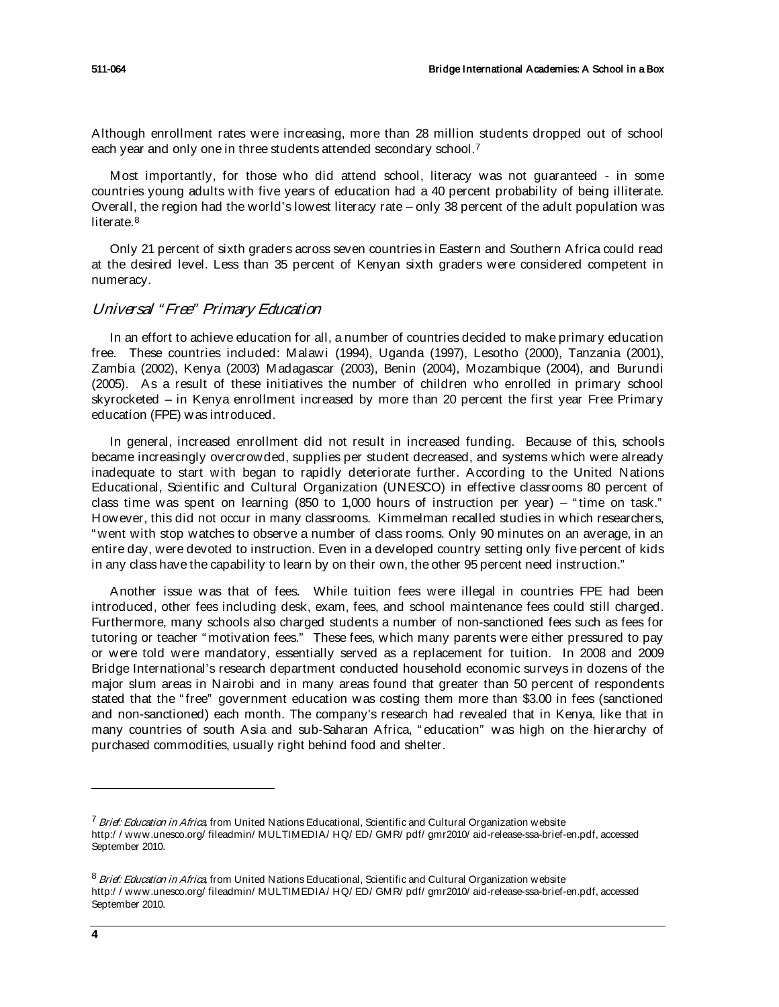Although enrollment rates were increasing, more than 28 million students dropped out of school each year and only one in three students attended secondary school.<sup>[7](#page-3-0)</sup>

Most importantly, for those who did attend school, literacy was not guaranteed - in some countries young adults with five years of education had a 40 percent probability of being illiterate. Overall, the region had the world's lowest literacy rate – only 38 percent of the adult population was literate. [8](#page-3-1)

Only 21 percent of sixth graders across seven countries in Eastern and Southern Africa could read at the desired level. Less than 35 percent of Kenyan sixth graders were considered competent in numeracy.

### Universal "Free" Primary Education

In an effort to achieve education for all, a number of countries decided to make primary education free. These countries included: Malawi (1994), Uganda (1997), Lesotho (2000), Tanzania (2001), Zambia (2002), Kenya (2003) Madagascar (2003), Benin (2004), Mozambique (2004), and Burundi (2005). As a result of these initiatives the number of children who enrolled in primary school skyrocketed – in Kenya enrollment increased by more than 20 percent the first year Free Primary education (FPE) was introduced.

In general, increased enrollment did not result in increased funding. Because of this, schools became increasingly overcrowded, supplies per student decreased, and systems which were already inadequate to start with began to rapidly deteriorate further. According to the United Nations Educational, Scientific and Cultural Organization (UNESCO) in effective classrooms 80 percent of class time was spent on learning (850 to 1,000 hours of instruction per year) – " time on task." However, this did not occur in many classrooms. Kimmelman recalled studies in which researchers, " went with stop watches to observe a number of class rooms. Only 90 minutes on an average, in an entire day, were devoted to instruction. Even in a developed country setting only five percent of kids in any class have the capability to learn by on their own, the other 95 percent need instruction."

Another issue was that of fees. While tuition fees were illegal in countries FPE had been introduced, other fees including desk, exam, fees, and school maintenance fees could still charged. Furthermore, many schools also charged students a number of non-sanctioned fees such as fees for tutoring or teacher " motivation fees." These fees, which many parents were either pressured to pay or were told were mandatory, essentially served as a replacement for tuition. In 2008 and 2009 Bridge International's research department conducted household economic surveys in dozens of the major slum areas in Nairobi and in many areas found that greater than 50 percent of respondents stated that the "free" government education was costing them more than \$3.00 in fees (sanctioned and non-sanctioned) each month. The company's research had revealed that in Kenya, like that in many countries of south Asia and sub-Saharan Africa, " education" was high on the hierarchy of purchased commodities, usually right behind food and shelter.

j

<span id="page-3-0"></span><sup>&</sup>lt;sup>7</sup> Brief: Education in Africa, from United Nations Educational, Scientific and Cultural Organization website http:/ / www.unesco.org/ fileadmin/ MULTIMEDIA/ HQ/ ED/ GMR/ pdf/ gmr2010/ aid-release-ssa-brief-en.pdf, accessed September 2010.

<span id="page-3-1"></span><sup>&</sup>lt;sup>8</sup> Brief: Education in Africa, from United Nations Educational, Scientific and Cultural Organization website http:/ / www.unesco.org/ fileadmin/ MULTIMEDIA/ HQ/ ED/ GMR/ pdf/ gmr2010/ aid-release-ssa-brief-en.pdf, accessed September 2010.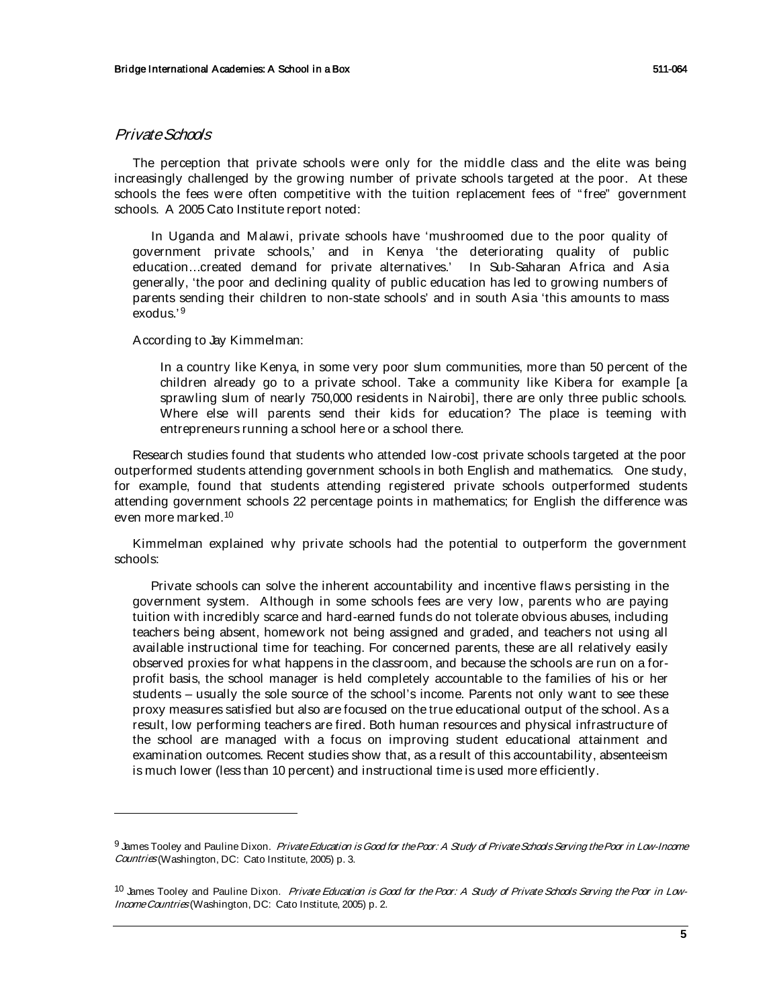### Private Schools

j

The perception that private schools were only for the middle class and the elite was being increasingly challenged by the growing number of private schools targeted at the poor. At these schools the fees were often competitive with the tuition replacement fees of " free" government schools. A 2005 Cato Institute report noted:

In Uganda and Malawi, private schools have 'mushroomed due to the poor quality of government private schools,' and in Kenya 'the deteriorating quality of public education…created demand for private alternatives.' In Sub-Saharan Africa and Asia generally, 'the poor and declining quality of public education has led to growing numbers of parents sending their children to non-state schools' and in south Asia 'this amounts to mass exodus.'[9](#page-4-0)

According to Jay Kimmelman:

In a country like Kenya, in some very poor slum communities, more than 50 percent of the children already go to a private school. Take a community like Kibera for example [a sprawling slum of nearly 750,000 residents in Nairobi], there are only three public schools. Where else will parents send their kids for education? The place is teeming with entrepreneurs running a school here or a school there.

Research studies found that students who attended low-cost private schools targeted at the poor outperformed students attending government schools in both English and mathematics. One study, for example, found that students attending registered private schools outperformed students attending government schools 22 percentage points in mathematics; for English the difference was even more marked. [10](#page-4-1)

Kimmelman explained why private schools had the potential to outperform the government schools:

Private schools can solve the inherent accountability and incentive flaws persisting in the government system. Although in some schools fees are very low, parents who are paying tuition with incredibly scarce and hard-earned funds do not tolerate obvious abuses, including teachers being absent, homework not being assigned and graded, and teachers not using all available instructional time for teaching. For concerned parents, these are all relatively easily observed proxies for what happens in the classroom, and because the schools are run on a forprofit basis, the school manager is held completely accountable to the families of his or her students – usually the sole source of the school's income. Parents not only want to see these proxy measures satisfied but also are focused on the true educational output of the school. As a result, low performing teachers are fired. Both human resources and physical infrastructure of the school are managed with a focus on improving student educational attainment and examination outcomes. Recent studies show that, as a result of this accountability, absenteeism is much lower (less than 10 percent) and instructional time is used more efficiently.

<span id="page-4-0"></span><sup>9</sup> James Tooley and Pauline Dixon. Private Education is Good for the Poor: A Study of Private Schools Serving the Poor in Low-Income Countries (Washington, DC: Cato Institute, 2005) p. 3.

<span id="page-4-1"></span><sup>&</sup>lt;sup>10</sup> James Tooley and Pauline Dixon. *Private Education is Good for the Poor: A Study of Private Schools Serving the Poor in Low-*Income Countries (Washington, DC: Cato Institute, 2005) p. 2.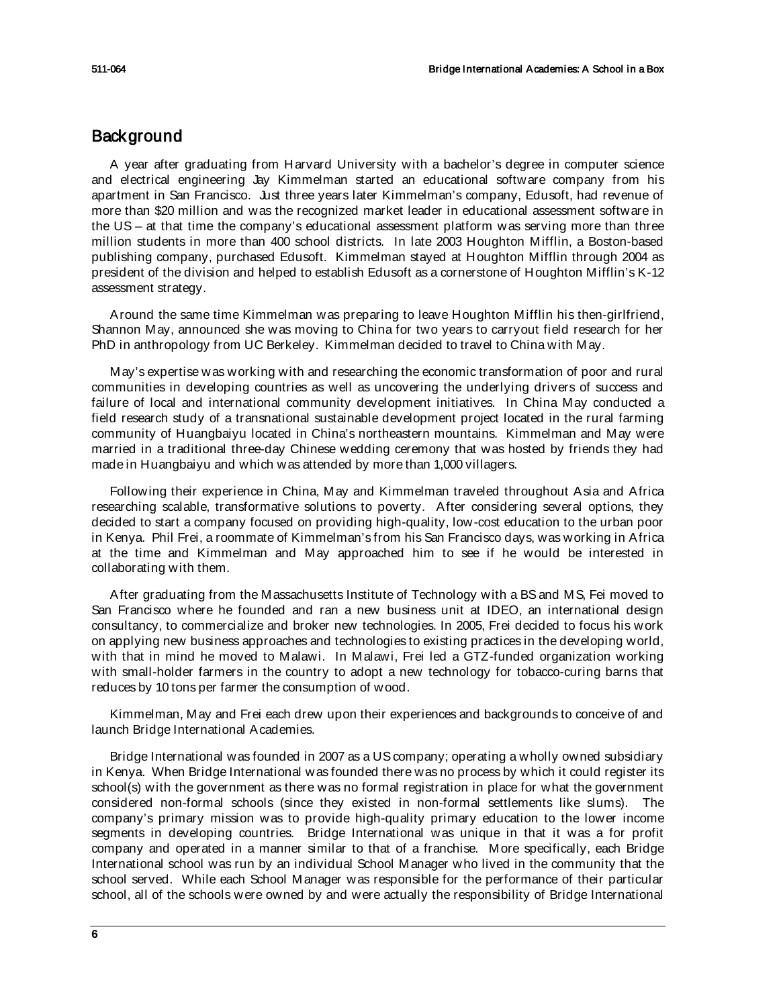# **Background**

A year after graduating from Harvard University with a bachelor's degree in computer science and electrical engineering Jay Kimmelman started an educational software company from his apartment in San Francisco. Just three years later Kimmelman's company, Edusoft, had revenue of more than \$20 million and was the recognized market leader in educational assessment software in the US – at that time the company's educational assessment platform was serving more than three million students in more than 400 school districts. In late 2003 Houghton Mifflin, a Boston-based publishing company, purchased Edusoft. Kimmelman stayed at Houghton Mifflin through 2004 as president of the division and helped to establish Edusoft as a cornerstone of Houghton Mifflin's K-12 assessment strategy.

Around the same time Kimmelman was preparing to leave Houghton Mifflin his then-girlfriend, Shannon May, announced she was moving to China for two years to carryout field research for her PhD in anthropology from UC Berkeley. Kimmelman decided to travel to China with May.

May's expertise was working with and researching the economic transformation of poor and rural communities in developing countries as well as uncovering the underlying drivers of success and failure of local and international community development initiatives. In China May conducted a field research study of a transnational sustainable development project located in the rural farming community of Huangbaiyu located in China's northeastern mountains. Kimmelman and May were married in a traditional three-day Chinese wedding ceremony that was hosted by friends they had made in Huangbaiyu and which was attended by more than 1,000 villagers.

Following their experience in China, May and Kimmelman traveled throughout Asia and Africa researching scalable, transformative solutions to poverty. After considering several options, they decided to start a company focused on providing high-quality, low-cost education to the urban poor in Kenya. Phil Frei, a roommate of Kimmelman's from his San Francisco days, was working in Africa at the time and Kimmelman and May approached him to see if he would be interested in collaborating with them.

After graduating from the Massachusetts Institute of Technology with a BS and MS, Fei moved to San Francisco where he founded and ran a new business unit at IDEO, an international design consultancy, to commercialize and broker new technologies. In 2005, Frei decided to focus his work on applying new business approaches and technologies to existing practices in the developing world, with that in mind he moved to Malawi. In Malawi, Frei led a GTZ-funded organization working with small-holder farmers in the country to adopt a new technology for tobacco-curing barns that reduces by 10 tons per farmer the consumption of wood.

Kimmelman, May and Frei each drew upon their experiences and backgrounds to conceive of and launch Bridge International Academies.

Bridge International was founded in 2007 as a US company; operating a wholly owned subsidiary in Kenya. When Bridge International was founded there was no process by which it could register its school(s) with the government as there was no formal registration in place for what the government considered non-formal schools (since they existed in non-formal settlements like slums). The company's primary mission was to provide high-quality primary education to the lower income segments in developing countries. Bridge International was unique in that it was a for profit company and operated in a manner similar to that of a franchise. More specifically, each Bridge International school was run by an individual School Manager who lived in the community that the school served. While each School Manager was responsible for the performance of their particular school, all of the schools were owned by and were actually the responsibility of Bridge International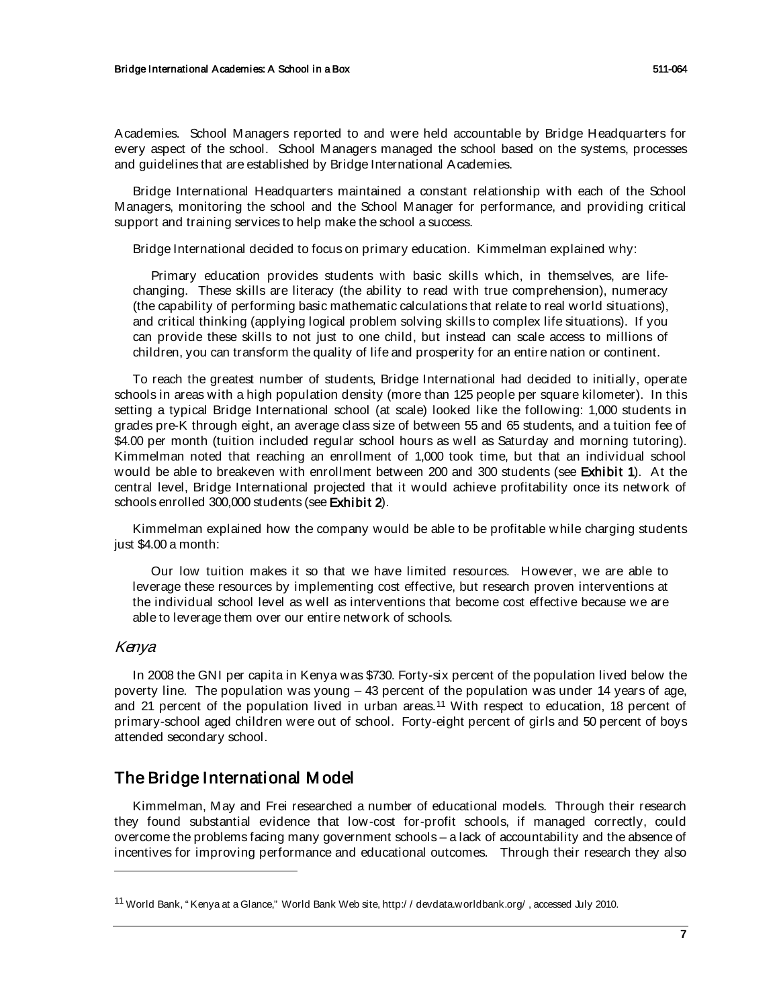Academies. School Managers reported to and were held accountable by Bridge Headquarters for every aspect of the school. School Managers managed the school based on the systems, processes and guidelines that are established by Bridge International Academies.

Bridge International Headquarters maintained a constant relationship with each of the School Managers, monitoring the school and the School Manager for performance, and providing critical support and training services to help make the school a success.

Bridge International decided to focus on primary education. Kimmelman explained why:

Primary education provides students with basic skills which, in themselves, are lifechanging. These skills are literacy (the ability to read with true comprehension), numeracy (the capability of performing basic mathematic calculations that relate to real world situations), and critical thinking (applying logical problem solving skills to complex life situations). If you can provide these skills to not just to one child, but instead can scale access to millions of children, you can transform the quality of life and prosperity for an entire nation or continent.

To reach the greatest number of students, Bridge International had decided to initially, operate schools in areas with a high population density (more than 125 people per square kilometer). In this setting a typical Bridge International school (at scale) looked like the following: 1,000 students in grades pre-K through eight, an average class size of between 55 and 65 students, and a tuition fee of \$4.00 per month (tuition included regular school hours as well as Saturday and morning tutoring). Kimmelman noted that reaching an enrollment of 1,000 took time, but that an individual school would be able to breakeven with enrollment between 200 and 300 students (see Exhibit 1). At the central level, Bridge International projected that it would achieve profitability once its network of schools enrolled 300,000 students (see Exhibit 2).

Kimmelman explained how the company would be able to be profitable while charging students just \$4.00 a month:

Our low tuition makes it so that we have limited resources. However, we are able to leverage these resources by implementing cost effective, but research proven interventions at the individual school level as well as interventions that become cost effective because we are able to leverage them over our entire network of schools.

# Kenya

1

In 2008 the GNI per capita in Kenya was \$730. Forty-six percent of the population lived below the poverty line. The population was young – 43 percent of the population was under 14 years of age, and 21 percent of the population lived in urban areas.<sup>[11](#page-6-0)</sup> With respect to education, 18 percent of primary-school aged children were out of school. Forty-eight percent of girls and 50 percent of boys attended secondary school.

# The Bridge International M odel

Kimmelman, May and Frei researched a number of educational models. Through their research they found substantial evidence that low-cost for-profit schools, if managed correctly, could overcome the problems facing many government schools – a lack of accountability and the absence of incentives for improving performance and educational outcomes. Through their research they also

<span id="page-6-0"></span><sup>11</sup> World Bank, " Kenya at a Glance," World Bank Web site, http:/ / devdata.worldbank.org/ , accessed July 2010.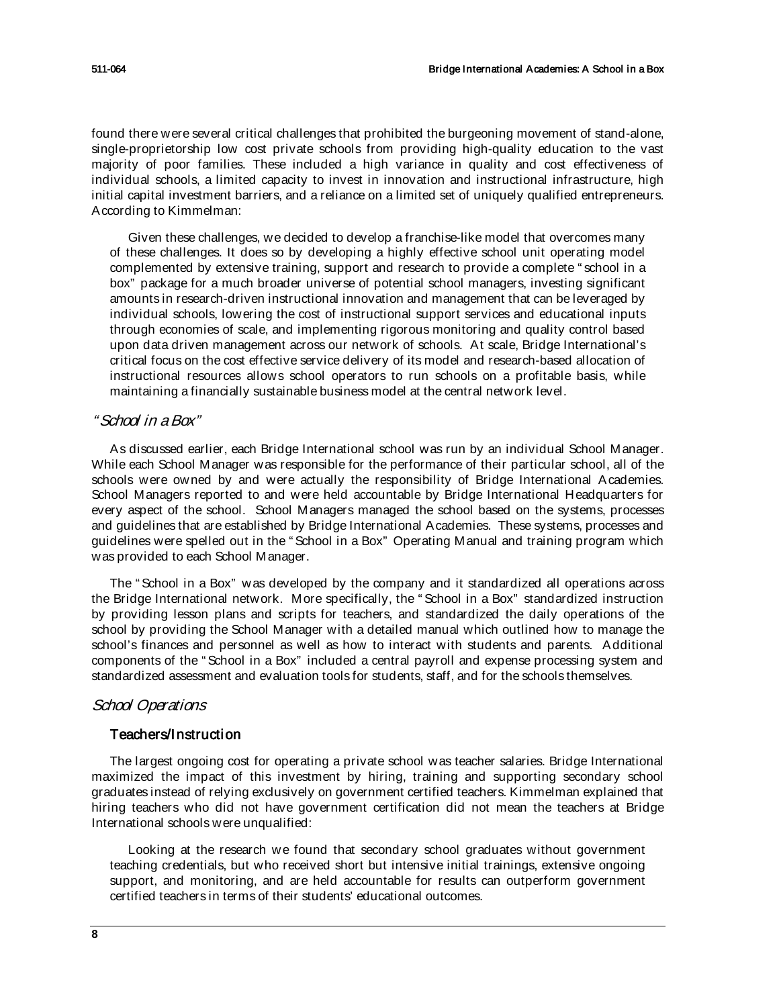found there were several critical challenges that prohibited the burgeoning movement of stand-alone, single-proprietorship low cost private schools from providing high-quality education to the vast majority of poor families. These included a high variance in quality and cost effectiveness of individual schools, a limited capacity to invest in innovation and instructional infrastructure, high initial capital investment barriers, and a reliance on a limited set of uniquely qualified entrepreneurs. According to Kimmelman:

Given these challenges, we decided to develop a franchise-like model that overcomes many of these challenges. It does so by developing a highly effective school unit operating model complemented by extensive training, support and research to provide a complete " school in a box" package for a much broader universe of potential school managers, investing significant amounts in research-driven instructional innovation and management that can be leveraged by individual schools, lowering the cost of instructional support services and educational inputs through economies of scale, and implementing rigorous monitoring and quality control based upon data driven management across our network of schools. At scale, Bridge International's critical focus on the cost effective service delivery of its model and research-based allocation of instructional resources allows school operators to run schools on a profitable basis, while maintaining a financially sustainable business model at the central network level.

# " School in a Box"

As discussed earlier, each Bridge International school was run by an individual School Manager. While each School Manager was responsible for the performance of their particular school, all of the schools were owned by and were actually the responsibility of Bridge International Academies. School Managers reported to and were held accountable by Bridge International Headquarters for every aspect of the school. School Managers managed the school based on the systems, processes and guidelines that are established by Bridge International Academies. These systems, processes and guidelines were spelled out in the " School in a Box" Operating Manual and training program which was provided to each School Manager.

The " School in a Box" was developed by the company and it standardized all operations across the Bridge International network. More specifically, the " School in a Box" standardized instruction by providing lesson plans and scripts for teachers, and standardized the daily operations of the school by providing the School Manager with a detailed manual which outlined how to manage the school's finances and personnel as well as how to interact with students and parents. Additional components of the " School in a Box" included a central payroll and expense processing system and standardized assessment and evaluation tools for students, staff, and for the schools themselves.

# School Operations

# Teachers/Instruction

The largest ongoing cost for operating a private school was teacher salaries. Bridge International maximized the impact of this investment by hiring, training and supporting secondary school graduates instead of relying exclusively on government certified teachers. Kimmelman explained that hiring teachers who did not have government certification did not mean the teachers at Bridge International schools were unqualified:

Looking at the research we found that secondary school graduates without government teaching credentials, but who received short but intensive initial trainings, extensive ongoing support, and monitoring, and are held accountable for results can outperform government certified teachers in terms of their students' educational outcomes.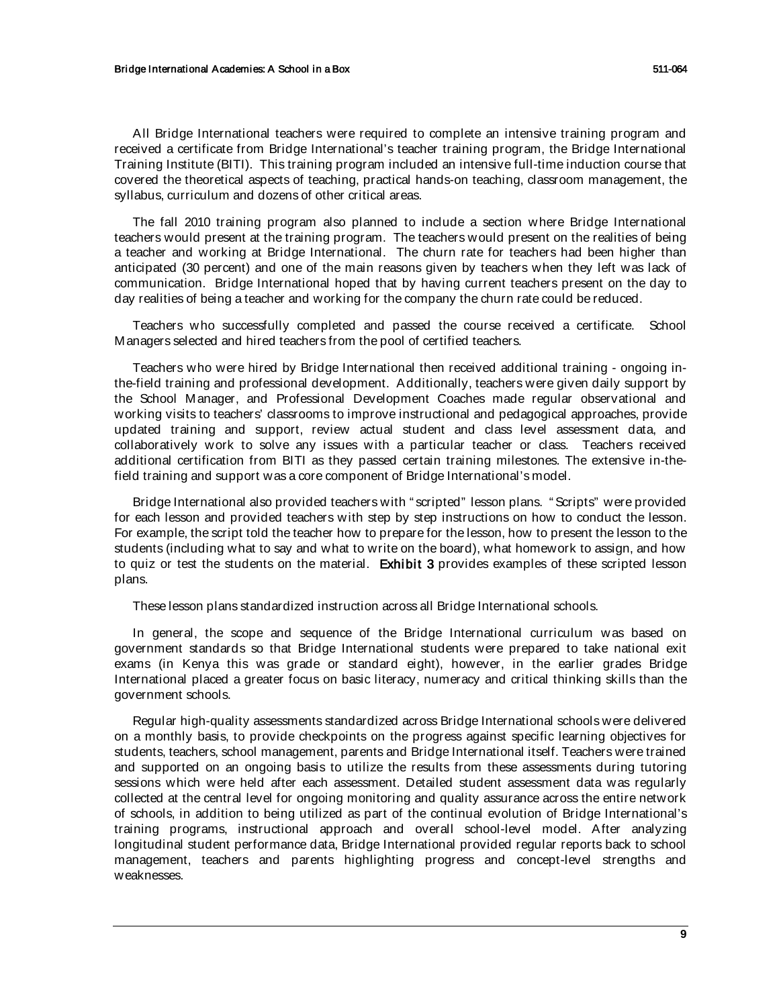All Bridge International teachers were required to complete an intensive training program and received a certificate from Bridge International's teacher training program, the Bridge International Training Institute (BITI). This training program included an intensive full-time induction course that covered the theoretical aspects of teaching, practical hands-on teaching, classroom management, the syllabus, curriculum and dozens of other critical areas.

The fall 2010 training program also planned to include a section where Bridge International teachers would present at the training program. The teachers would present on the realities of being a teacher and working at Bridge International. The churn rate for teachers had been higher than anticipated (30 percent) and one of the main reasons given by teachers when they left was lack of communication. Bridge International hoped that by having current teachers present on the day to day realities of being a teacher and working for the company the churn rate could be reduced.

Teachers who successfully completed and passed the course received a certificate. School Managers selected and hired teachers from the pool of certified teachers.

Teachers who were hired by Bridge International then received additional training - ongoing inthe-field training and professional development. Additionally, teachers were given daily support by the School Manager, and Professional Development Coaches made regular observational and working visits to teachers' classrooms to improve instructional and pedagogical approaches, provide updated training and support, review actual student and class level assessment data, and collaboratively work to solve any issues with a particular teacher or class. Teachers received additional certification from BITI as they passed certain training milestones. The extensive in-thefield training and support was a core component of Bridge International's model.

Bridge International also provided teachers with " scripted" lesson plans. " Scripts" were provided for each lesson and provided teachers with step by step instructions on how to conduct the lesson. For example, the script told the teacher how to prepare for the lesson, how to present the lesson to the students (including what to say and what to write on the board), what homework to assign, and how to quiz or test the students on the material. Exhibit 3 provides examples of these scripted lesson plans.

These lesson plans standardized instruction across all Bridge International schools.

In general, the scope and sequence of the Bridge International curriculum was based on government standards so that Bridge International students were prepared to take national exit exams (in Kenya this was grade or standard eight), however, in the earlier grades Bridge International placed a greater focus on basic literacy, numeracy and critical thinking skills than the government schools.

Regular high-quality assessments standardized across Bridge International schools were delivered on a monthly basis, to provide checkpoints on the progress against specific learning objectives for students, teachers, school management, parents and Bridge International itself. Teachers were trained and supported on an ongoing basis to utilize the results from these assessments during tutoring sessions which were held after each assessment. Detailed student assessment data was regularly collected at the central level for ongoing monitoring and quality assurance across the entire network of schools, in addition to being utilized as part of the continual evolution of Bridge International's training programs, instructional approach and overall school-level model. After analyzing longitudinal student performance data, Bridge International provided regular reports back to school management, teachers and parents highlighting progress and concept-level strengths and weaknesses.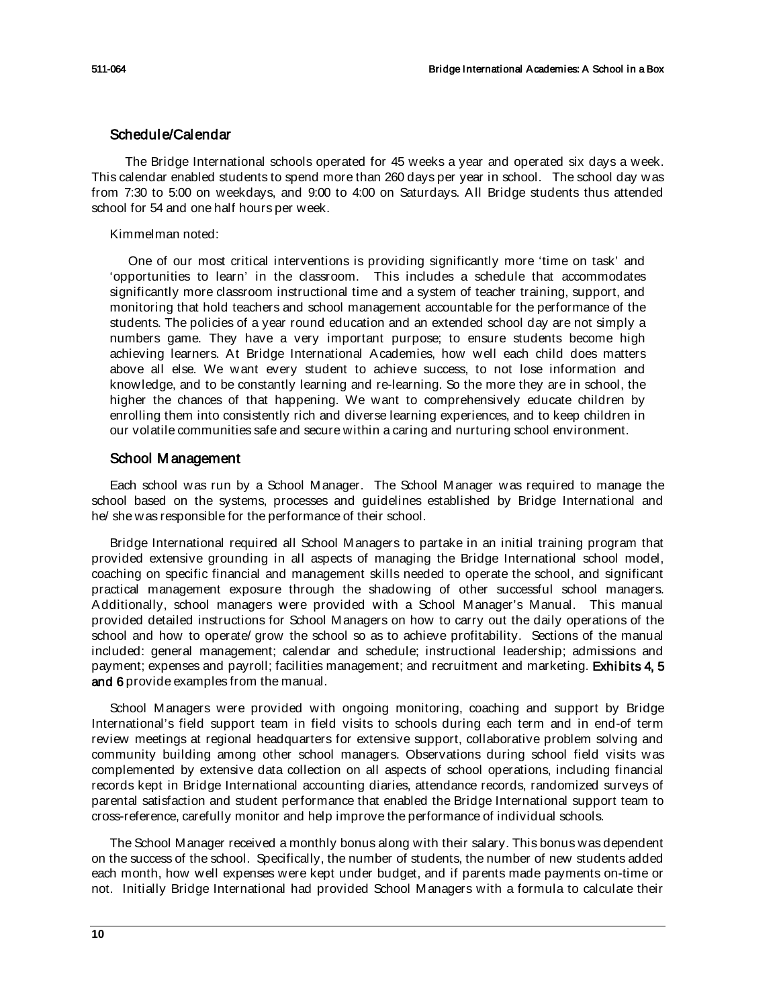# Schedule/Calendar

The Bridge International schools operated for 45 weeks a year and operated six days a week. This calendar enabled students to spend more than 260 days per year in school. The school day was from 7:30 to 5:00 on weekdays, and 9:00 to 4:00 on Saturdays. All Bridge students thus attended school for 54 and one half hours per week.

### Kimmelman noted:

One of our most critical interventions is providing significantly more 'time on task' and 'opportunities to learn' in the classroom. This includes a schedule that accommodates significantly more classroom instructional time and a system of teacher training, support, and monitoring that hold teachers and school management accountable for the performance of the students. The policies of a year round education and an extended school day are not simply a numbers game. They have a very important purpose; to ensure students become high achieving learners. At Bridge International Academies, how well each child does matters above all else. We want every student to achieve success, to not lose information and knowledge, and to be constantly learning and re-learning. So the more they are in school, the higher the chances of that happening. We want to comprehensively educate children by enrolling them into consistently rich and diverse learning experiences, and to keep children in our volatile communities safe and secure within a caring and nurturing school environment.

# School M anagement

Each school was run by a School Manager. The School Manager was required to manage the school based on the systems, processes and guidelines established by Bridge International and he/ she was responsible for the performance of their school.

Bridge International required all School Managers to partake in an initial training program that provided extensive grounding in all aspects of managing the Bridge International school model, coaching on specific financial and management skills needed to operate the school, and significant practical management exposure through the shadowing of other successful school managers. Additionally, school managers were provided with a School Manager's Manual. This manual provided detailed instructions for School Managers on how to carry out the daily operations of the school and how to operate/ grow the school so as to achieve profitability. Sections of the manual included: general management; calendar and schedule; instructional leadership; admissions and payment; expenses and payroll; facilities management; and recruitment and marketing. Exhibits 4, 5 and 6 provide examples from the manual.

School Managers were provided with ongoing monitoring, coaching and support by Bridge International's field support team in field visits to schools during each term and in end-of term review meetings at regional headquarters for extensive support, collaborative problem solving and community building among other school managers. Observations during school field visits was complemented by extensive data collection on all aspects of school operations, including financial records kept in Bridge International accounting diaries, attendance records, randomized surveys of parental satisfaction and student performance that enabled the Bridge International support team to cross-reference, carefully monitor and help improve the performance of individual schools.

The School Manager received a monthly bonus along with their salary. This bonus was dependent on the success of the school. Specifically, the number of students, the number of new students added each month, how well expenses were kept under budget, and if parents made payments on-time or not. Initially Bridge International had provided School Managers with a formula to calculate their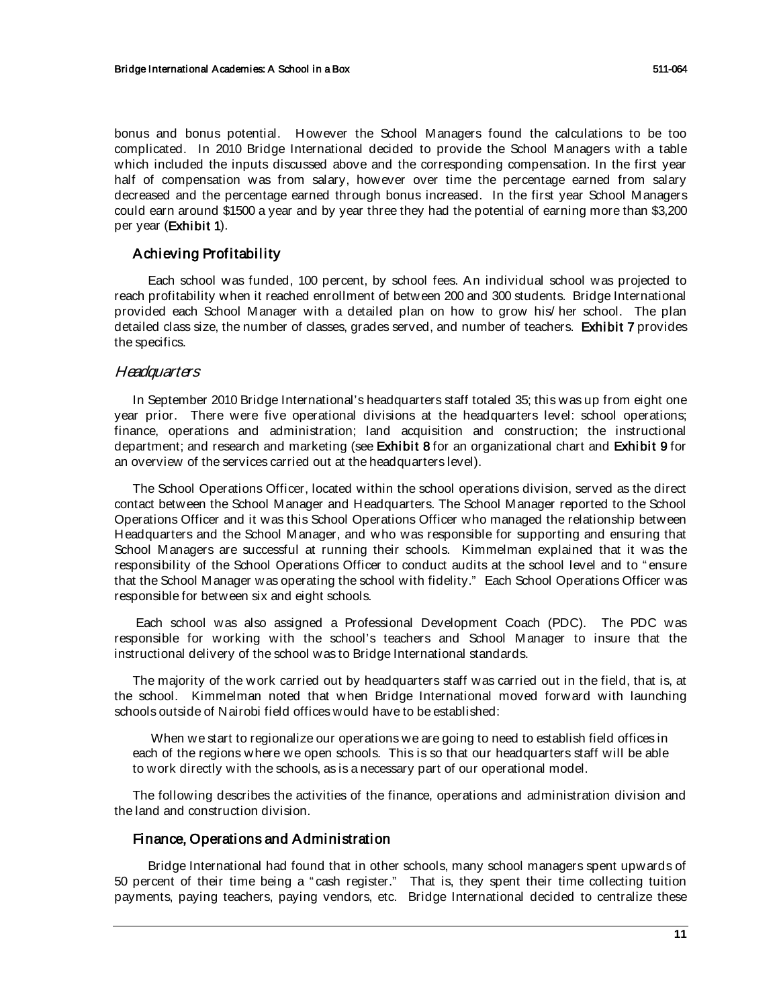bonus and bonus potential. However the School Managers found the calculations to be too complicated. In 2010 Bridge International decided to provide the School Managers with a table which included the inputs discussed above and the corresponding compensation. In the first year half of compensation was from salary, however over time the percentage earned from salary decreased and the percentage earned through bonus increased. In the first year School Managers could earn around \$1500 a year and by year three they had the potential of earning more than \$3,200 per year (Exhibit 1).

# Achieving Profitabil ity

Each school was funded, 100 percent, by school fees. An individual school was projected to reach profitability when it reached enrollment of between 200 and 300 students. Bridge International provided each School Manager with a detailed plan on how to grow his/ her school. The plan detailed class size, the number of classes, grades served, and number of teachers. Exhibit 7 provides the specifics.

# **Headquarters**

In September 2010 Bridge International's headquarters staff totaled 35; this was up from eight one year prior. There were five operational divisions at the headquarters level: school operations; finance, operations and administration; land acquisition and construction; the instructional department; and research and marketing (see Exhibit 8 for an organizational chart and Exhibit 9 for an overview of the services carried out at the headquarters level).

The School Operations Officer, located within the school operations division, served as the direct contact between the School Manager and Headquarters. The School Manager reported to the School Operations Officer and it was this School Operations Officer who managed the relationship between Headquarters and the School Manager, and who was responsible for supporting and ensuring that School Managers are successful at running their schools. Kimmelman explained that it was the responsibility of the School Operations Officer to conduct audits at the school level and to " ensure that the School Manager was operating the school with fidelity." Each School Operations Officer was responsible for between six and eight schools.

Each school was also assigned a Professional Development Coach (PDC). The PDC was responsible for working with the school's teachers and School Manager to insure that the instructional delivery of the school was to Bridge International standards.

The majority of the work carried out by headquarters staff was carried out in the field, that is, at the school. Kimmelman noted that when Bridge International moved forward with launching schools outside of Nairobi field offices would have to be established:

When we start to regionalize our operations we are going to need to establish field offices in each of the regions where we open schools. This is so that our headquarters staff will be able to work directly with the schools, as is a necessary part of our operational model.

The following describes the activities of the finance, operations and administration division and the land and construction division.

# Finance, Operations and Administration

Bridge International had found that in other schools, many school managers spent upwards of 50 percent of their time being a " cash register." That is, they spent their time collecting tuition payments, paying teachers, paying vendors, etc. Bridge International decided to centralize these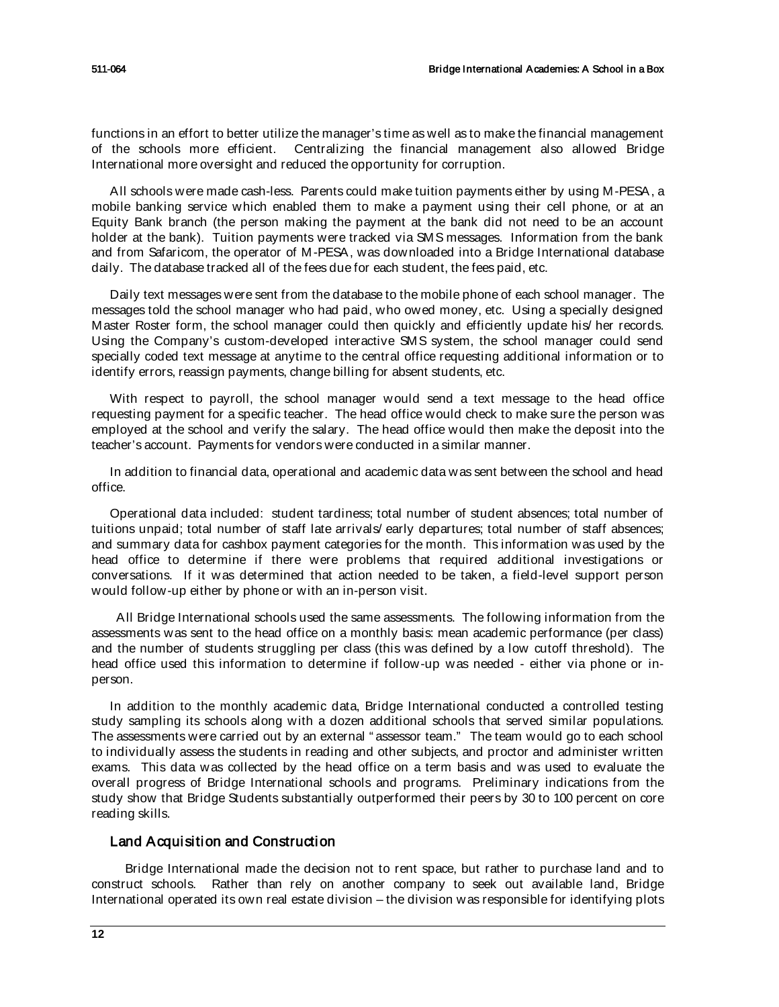functions in an effort to better utilize the manager's time as well as to make the financial management of the schools more efficient. Centralizing the financial management also allowed Bridge International more oversight and reduced the opportunity for corruption.

All schools were made cash-less. Parents could make tuition payments either by using M-PESA, a mobile banking service which enabled them to make a payment using their cell phone, or at an Equity Bank branch (the person making the payment at the bank did not need to be an account holder at the bank). Tuition payments were tracked via SMS messages. Information from the bank and from Safaricom, the operator of M-PESA, was downloaded into a Bridge International database daily. The database tracked all of the fees due for each student, the fees paid, etc.

Daily text messages were sent from the database to the mobile phone of each school manager. The messages told the school manager who had paid, who owed money, etc. Using a specially designed Master Roster form, the school manager could then quickly and efficiently update his/ her records. Using the Company's custom-developed interactive SMS system, the school manager could send specially coded text message at anytime to the central office requesting additional information or to identify errors, reassign payments, change billing for absent students, etc.

With respect to payroll, the school manager would send a text message to the head office requesting payment for a specific teacher. The head office would check to make sure the person was employed at the school and verify the salary. The head office would then make the deposit into the teacher's account. Payments for vendors were conducted in a similar manner.

In addition to financial data, operational and academic data was sent between the school and head office.

Operational data included: student tardiness; total number of student absences; total number of tuitions unpaid; total number of staff late arrivals/ early departures; total number of staff absences; and summary data for cashbox payment categories for the month. This information was used by the head office to determine if there were problems that required additional investigations or conversations. If it was determined that action needed to be taken, a field-level support person would follow-up either by phone or with an in-person visit.

 All Bridge International schools used the same assessments. The following information from the assessments was sent to the head office on a monthly basis: mean academic performance (per class) and the number of students struggling per class (this was defined by a low cutoff threshold). The head office used this information to determine if follow-up was needed - either via phone or inperson.

In addition to the monthly academic data, Bridge International conducted a controlled testing study sampling its schools along with a dozen additional schools that served similar populations. The assessments were carried out by an external "assessor team." The team would go to each school to individually assess the students in reading and other subjects, and proctor and administer written exams. This data was collected by the head office on a term basis and was used to evaluate the overall progress of Bridge International schools and programs. Preliminary indications from the study show that Bridge Students substantially outperformed their peers by 30 to 100 percent on core reading skills.

# Land Acquisition and Construction

Bridge International made the decision not to rent space, but rather to purchase land and to construct schools. Rather than rely on another company to seek out available land, Bridge International operated its own real estate division – the division was responsible for identifying plots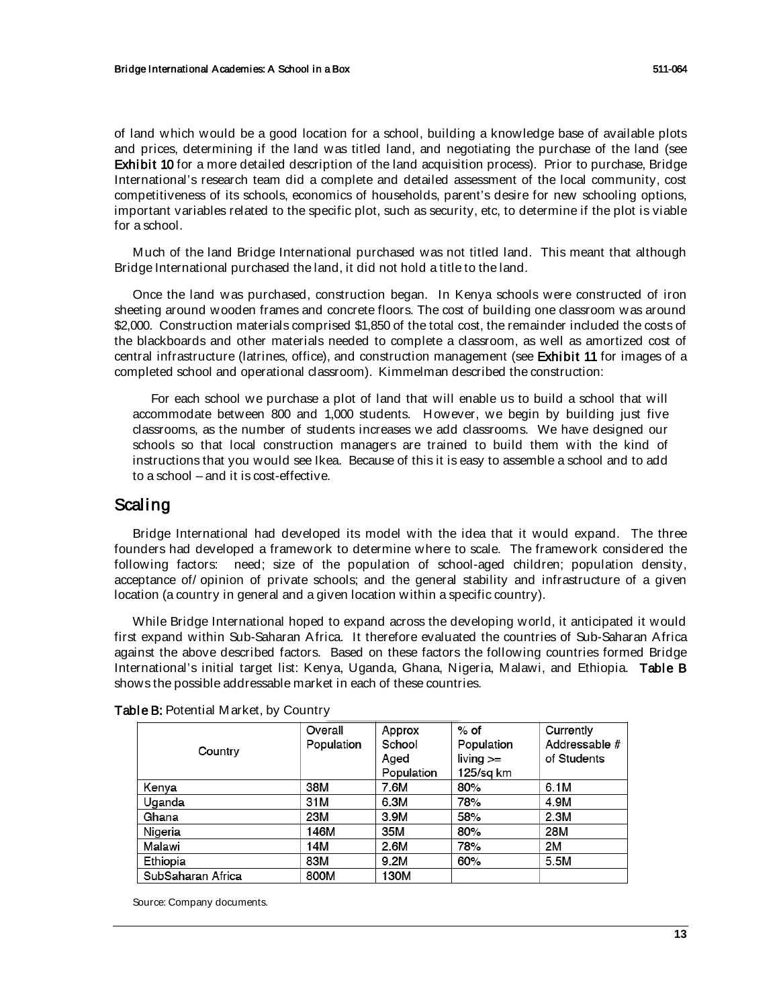of land which would be a good location for a school, building a knowledge base of available plots and prices, determining if the land was titled land, and negotiating the purchase of the land (see Exhibit 10 for a more detailed description of the land acquisition process). Prior to purchase, Bridge International's research team did a complete and detailed assessment of the local community, cost competitiveness of its schools, economics of households, parent's desire for new schooling options, important variables related to the specific plot, such as security, etc, to determine if the plot is viable for a school.

Much of the land Bridge International purchased was not titled land. This meant that although Bridge International purchased the land, it did not hold a title to the land.

Once the land was purchased, construction began. In Kenya schools were constructed of iron sheeting around wooden frames and concrete floors. The cost of building one classroom was around \$2,000. Construction materials comprised \$1,850 of the total cost, the remainder included the costs of the blackboards and other materials needed to complete a classroom, as well as amortized cost of central infrastructure (latrines, office), and construction management (see Exhibit 11 for images of a completed school and operational classroom). Kimmelman described the construction:

For each school we purchase a plot of land that will enable us to build a school that will accommodate between 800 and 1,000 students. However, we begin by building just five classrooms, as the number of students increases we add classrooms. We have designed our schools so that local construction managers are trained to build them with the kind of instructions that you would see Ikea. Because of this it is easy to assemble a school and to add to a school – and it is cost-effective.

# Scaling

Bridge International had developed its model with the idea that it would expand. The three founders had developed a framework to determine where to scale. The framework considered the following factors: need; size of the population of school-aged children; population density, acceptance of/ opinion of private schools; and the general stability and infrastructure of a given location (a country in general and a given location within a specific country).

While Bridge International hoped to expand across the developing world, it anticipated it would first expand within Sub-Saharan Africa. It therefore evaluated the countries of Sub-Saharan Africa against the above described factors. Based on these factors the following countries formed Bridge International's initial target list: Kenya, Uganda, Ghana, Nigeria, Malawi, and Ethiopia. Table B shows the possible addressable market in each of these countries.

| Country           | Overall    | Approx     | $%$ of      | Currently     |
|-------------------|------------|------------|-------------|---------------|
|                   | Population | School     | Population  | Addressable # |
|                   |            | Aged       | $living >=$ | of Students   |
|                   |            | Population | 125/sg km   |               |
| Kenya             | 38M        | 7.6M       | 80%         | 6.1M          |
| Uganda            | 31M        | 6.3M       | 78%         | 4.9M          |
| Ghana             | 23M        | 3.9M       | 58%         | 2.3M          |
| Nigeria           | 146M       | 35M        | 80%         | 28M           |
| Malawi            | 14M        | 2.6M       | 78%         | 2M            |
| Ethiopia          | 83M        | 9.2M       | 60%         | 5.5M          |
| SubSaharan Africa | 800M       | 130M       |             |               |

### Table B: Potential Market, by Country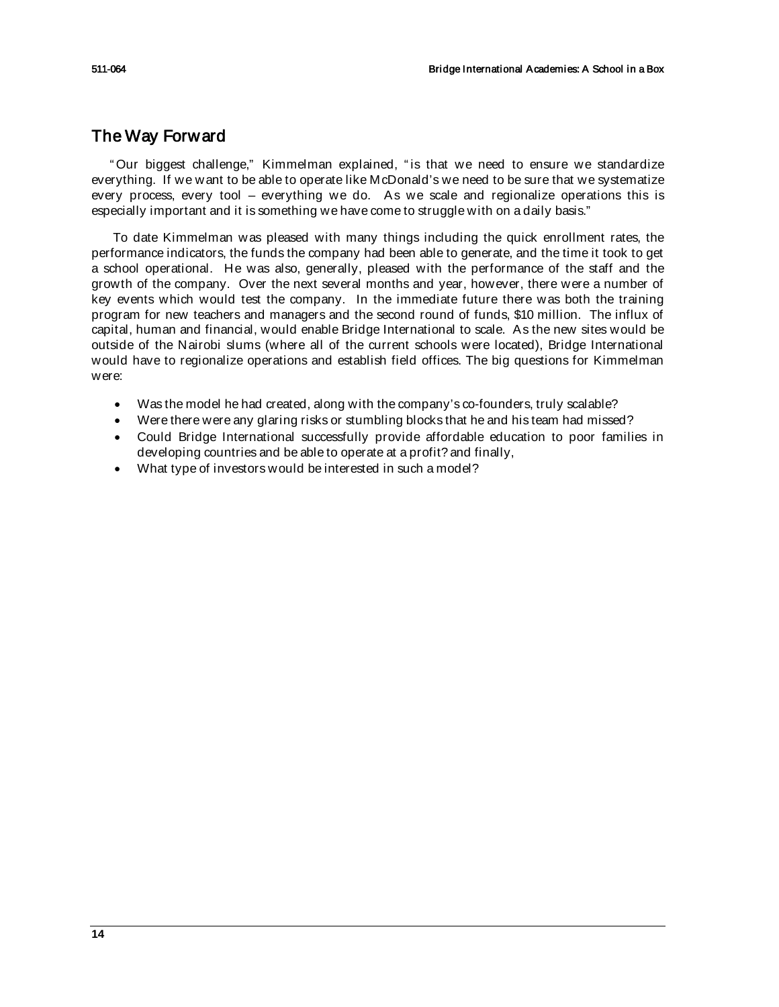# The Way Forward

" Our biggest challenge," Kimmelman explained, " is that we need to ensure we standardize everything. If we want to be able to operate like McDonald's we need to be sure that we systematize every process, every tool – everything we do. As we scale and regionalize operations this is especially important and it is something we have come to struggle with on a daily basis."

To date Kimmelman was pleased with many things including the quick enrollment rates, the performance indicators, the funds the company had been able to generate, and the time it took to get a school operational. He was also, generally, pleased with the performance of the staff and the growth of the company. Over the next several months and year, however, there were a number of key events which would test the company. In the immediate future there was both the training program for new teachers and managers and the second round of funds, \$10 million. The influx of capital, human and financial, would enable Bridge International to scale. As the new sites would be outside of the Nairobi slums (where all of the current schools were located), Bridge International would have to regionalize operations and establish field offices. The big questions for Kimmelman were:

- Was the model he had created, along with the company's co-founders, truly scalable?
- Were there were any glaring risks or stumbling blocks that he and his team had missed?
- Could Bridge International successfully provide affordable education to poor families in developing countries and be able to operate at a profit? and finally,
- What type of investors would be interested in such a model?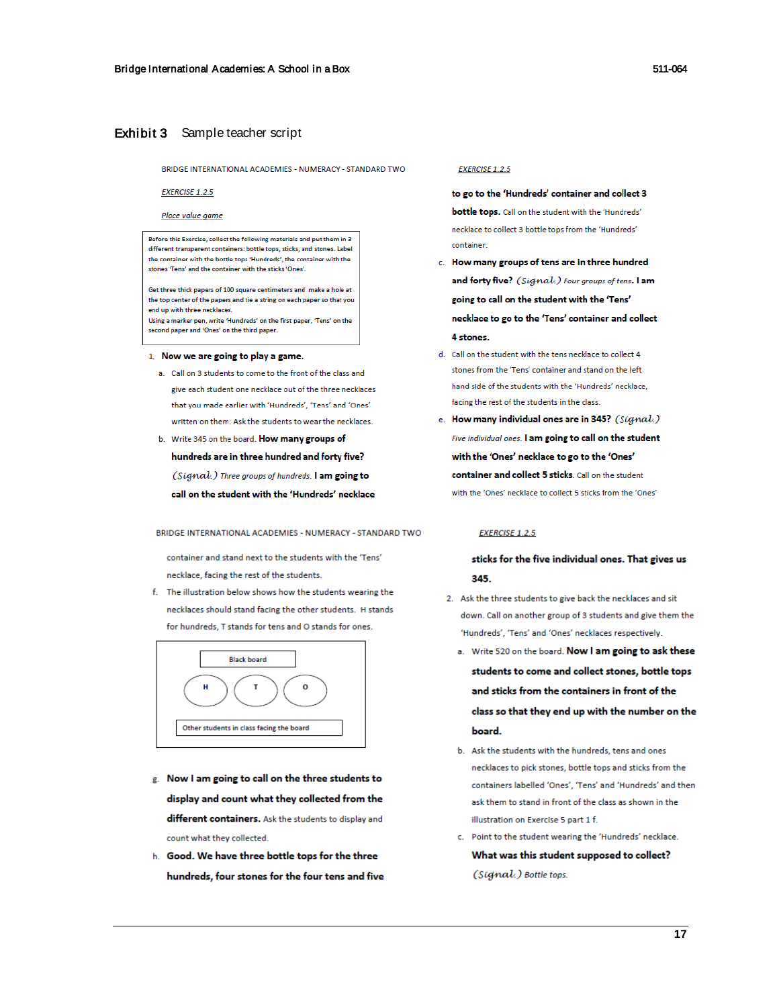#### Exhibit 3 Sample teacher script

BRIDGE INTERNATIONAL ACADEMIES - NUMERACY - STANDARD TWO

#### **EXERCISE 1.2.5**

Place value game

Before this Exercise, collect the following materials and put them in 3 different transparent containers: bottle tops, sticks, and stones. Label the container with the bottle tops 'Hundreds', the container with the stones 'Tens' and the container with the sticks 'Ones'

Get three thick papers of 100 square centimeters and make a hole at the top center of the papers and tie a string on each paper so that you end up with three necklaces.

Using a marker pen, write 'Hundreds' on the first paper, 'Tens' on the second paper and 'Ones' on the third paper.

#### 1. Now we are going to play a game.

- a. Call on 3 students to come to the front of the class and give each student one necklace out of the three necklaces that you made earlier with 'Hundreds' 'Tens' and 'Ones' written on them. Ask the students to wear the necklaces.
- b. Write 345 on the board. How many groups of hundreds are in three hundred and forty five? (Signal.) Three groups of hundreds. I am going to call on the student with the 'Hundreds' necklace

BRIDGE INTERNATIONAL ACADEMIES - NUMERACY - STANDARD TWO

container and stand next to the students with the 'Tens' necklace, facing the rest of the students.

f. The illustration below shows how the students wearing the necklaces should stand facing the other students. H stands for hundreds. Tistands for tens and O stands for ones



- g. Now I am going to call on the three students to display and count what they collected from the different containers. Ask the students to display and count what they collected.
- h. Good. We have three bottle tops for the three hundreds, four stones for the four tens and five

#### **EXERCISE 1.2.5**

to go to the 'Hundreds' container and collect 3 bottle tops. Call on the student with the 'Hundreds' necklace to collect 3 bottle tops from the 'Hundreds' container.

- c. How many groups of tens are in three hundred and forty five? (Sigmal.) Four groups of tens. I am going to call on the student with the 'Tens' necklace to go to the 'Tens' container and collect 4 stones.
- d. Call on the student with the tens necklace to collect 4 stones from the 'Tens' container and stand on the left hand side of the students with the 'Hundreds' necklace, facing the rest of the students in the class.
- e. How many individual ones are in 345? (Signal.) Five individual ones. I am going to call on the student with the 'Ones' necklace to go to the 'Ones' container and collect 5 sticks. Call on the student with the 'Ones' necklace to collect 5 sticks from the 'Ones'

#### **EXERCISE 1.2.5**

### sticks for the five individual ones. That gives us 345

- 2. Ask the three students to give back the necklaces and sit down. Call on another group of 3 students and give them the 'Hundreds', 'Tens' and 'Ones' necklaces respectively.
	- a. Write 520 on the board. Now I am going to ask these students to come and collect stones, bottle tops and sticks from the containers in front of the class so that they end up with the number on the board.
	- b. Ask the students with the hundreds, tens and ones necklaces to pick stones, bottle tops and sticks from the containers labelled 'Ones', 'Tens' and 'Hundreds' and then ask them to stand in front of the class as shown in the illustration on Exercise 5 part 1 f.
	- c. Point to the student wearing the 'Hundreds' necklace. What was this student supposed to collect? (Signal.) Bottle tops.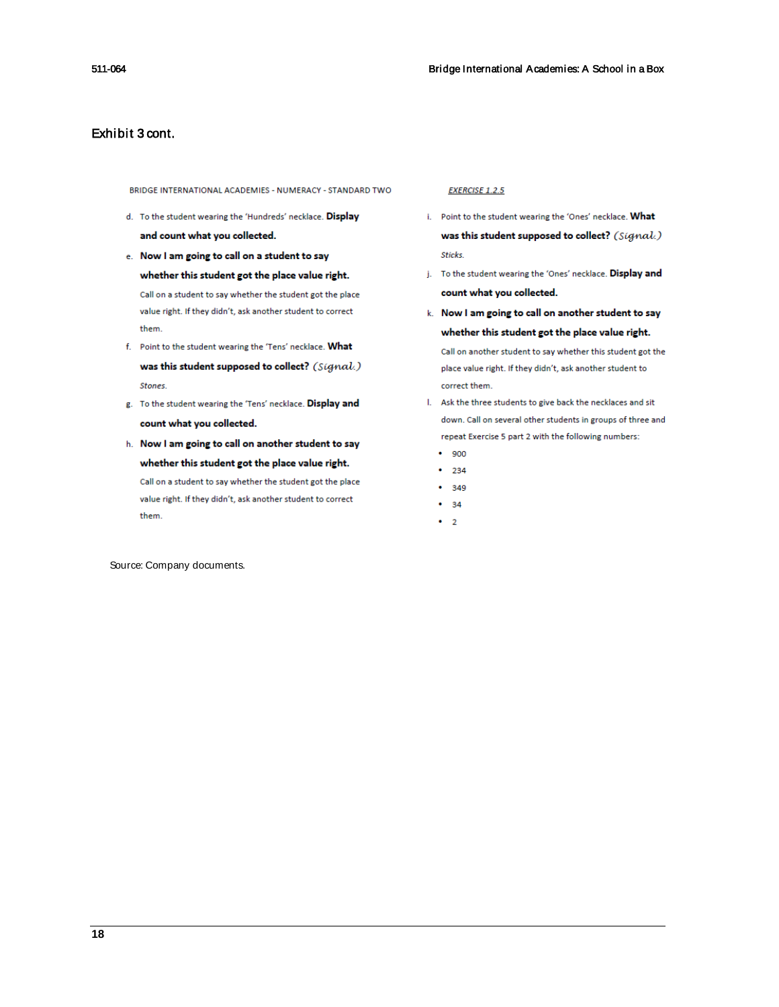# Exhibit 3 cont.

BRIDGE INTERNATIONAL ACADEMIES - NUMERACY - STANDARD TWO

- d. To the student wearing the 'Hundreds' necklace. Display and count what you collected.
- e. Now I am going to call on a student to say whether this student got the place value right. Call on a student to say whether the student got the place value right. If they didn't, ask another student to correct them.
- f. Point to the student wearing the 'Tens' necklace. What was this student supposed to collect? (Signal.) Stones.
- g. To the student wearing the 'Tens' necklace. Display and count what you collected.
- h. Now I am going to call on another student to say whether this student got the place value right. Call on a student to say whether the student got the place value right. If they didn't, ask another student to correct them.

#### **EXERCISE 1.2.5**

- i. Point to the student wearing the 'Ones' necklace. What was this student supposed to collect? (Signal.) Sticks.
- j. To the student wearing the 'Ones' necklace. Display and count what you collected.
- k. Now I am going to call on another student to say whether this student got the place value right. Call on another student to say whether this student got the place value right. If they didn't, ask another student to correct them.
- I. Ask the three students to give back the necklaces and sit down. Call on several other students in groups of three and repeat Exercise 5 part 2 with the following numbers:
	- $900$
	- 234
	- $349$
	- 34
	- $\cdot$  2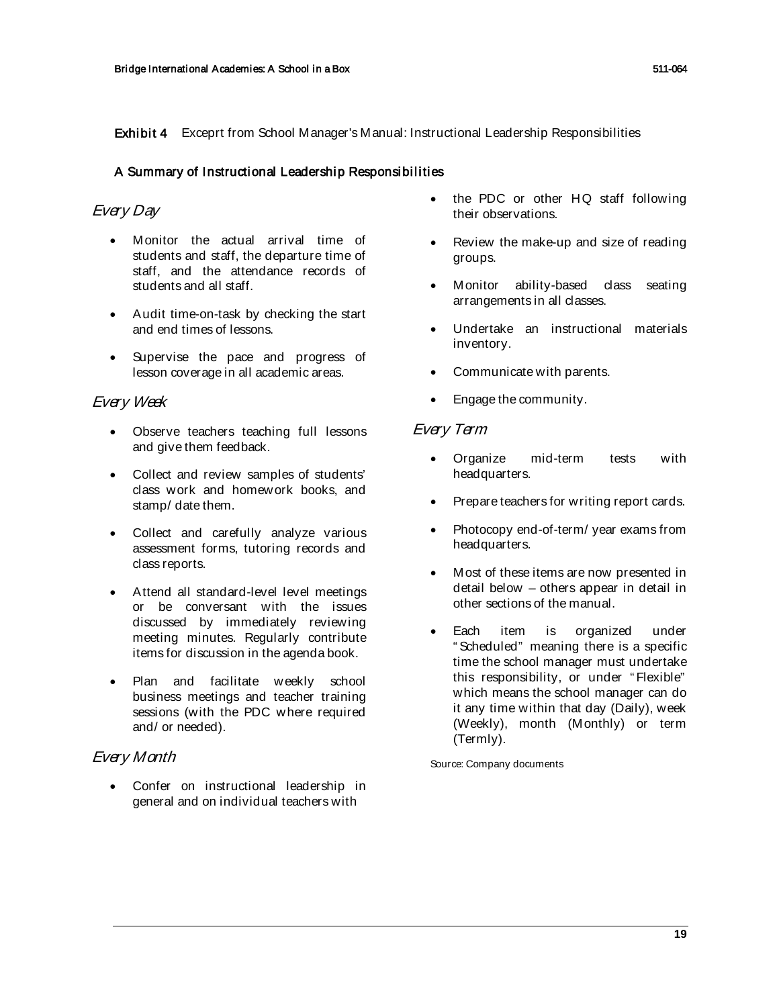Exhibit 4 Exceprt from School Manager's Manual: Instructional Leadership Responsibilities

# A Summary of Instructional Leadership Responsibilities

# Every Day

- Monitor the actual arrival time of students and staff, the departure time of staff, and the attendance records of students and all staff.
- Audit time-on-task by checking the start and end times of lessons.
- Supervise the pace and progress of lesson coverage in all academic areas.

# Every Week

- Observe teachers teaching full lessons and give them feedback.
- Collect and review samples of students' class work and homework books, and stamp/ date them.
- Collect and carefully analyze various assessment forms, tutoring records and class reports.
- Attend all standard-level level meetings or be conversant with the issues discussed by immediately reviewing meeting minutes. Regularly contribute items for discussion in the agenda book.
- Plan and facilitate weekly school business meetings and teacher training sessions (with the PDC where required and/ or needed).

# Every Month

Confer on instructional leadership in general and on individual teachers with

- the PDC or other HQ staff following their observations.
- Review the make-up and size of reading groups.
- Monitor ability-based class seating arrangements in all classes.
- Undertake an instructional materials inventory.
- Communicate with parents.
- Engage the community.

# Every Term

- Organize mid-term tests with headquarters.
- Prepare teachers for writing report cards.
- Photocopy end-of-term/ year exams from headquarters.
- Most of these items are now presented in detail below – others appear in detail in other sections of the manual.
- Each item is organized under " Scheduled" meaning there is a specific time the school manager must undertake this responsibility, or under "Flexible" which means the school manager can do it any time within that day (Daily), week (Weekly), month (Monthly) or term (Termly).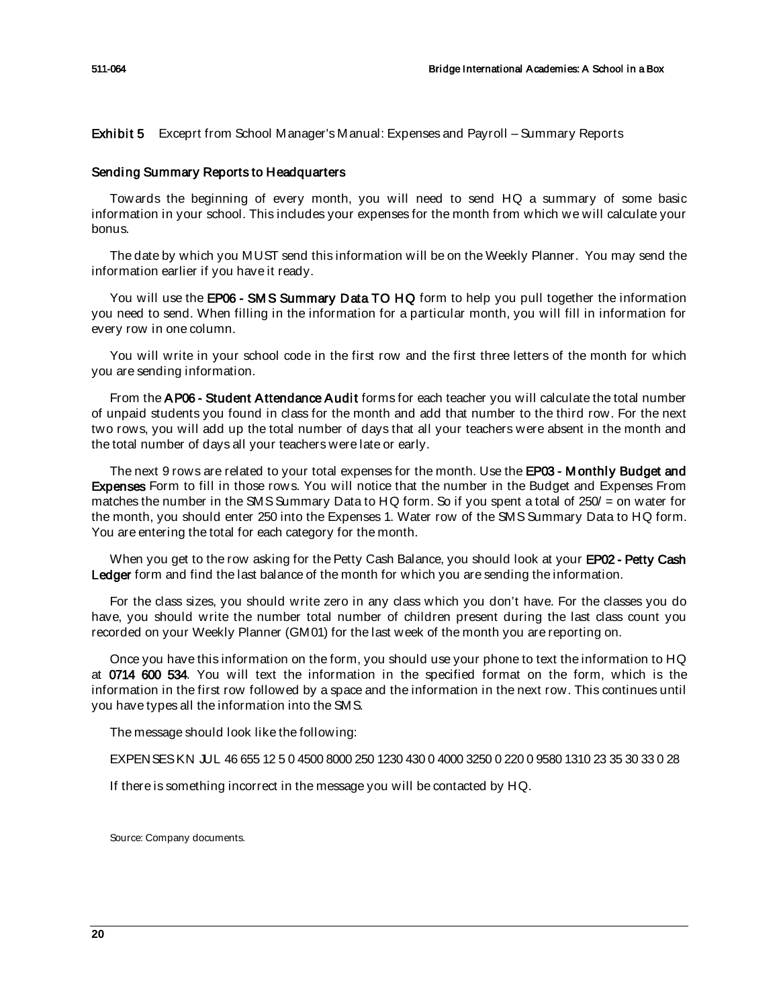Exhibit 5 Exceprt from School Manager's Manual: Expenses and Payroll – Summary Reports

### Sending Summary Reports to Headquarters

Towards the beginning of every month, you will need to send HQ a summary of some basic information in your school. This includes your expenses for the month from which we will calculate your bonus.

The date by which you MUST send this information will be on the Weekly Planner. You may send the information earlier if you have it ready.

You will use the **EP06 - SMS Summary Data TO HQ** form to help you pull together the information you need to send. When filling in the information for a particular month, you will fill in information for every row in one column.

You will write in your school code in the first row and the first three letters of the month for which you are sending information.

From the AP06 - Student Attendance Audit forms for each teacher you will calculate the total number of unpaid students you found in class for the month and add that number to the third row. For the next two rows, you will add up the total number of days that all your teachers were absent in the month and the total number of days all your teachers were late or early.

The next 9 rows are related to your total expenses for the month. Use the EP03 - Monthly Budget and Expenses Form to fill in those rows. You will notice that the number in the Budget and Expenses From matches the number in the SMS Summary Data to HQ form. So if you spent a total of 250/ = on water for the month, you should enter 250 into the Expenses 1. Water row of the SMS Summary Data to HQ form. You are entering the total for each category for the month.

When you get to the row asking for the Petty Cash Balance, you should look at your EP02 - Petty Cash Ledger form and find the last balance of the month for which you are sending the information.

For the class sizes, you should write zero in any class which you don't have. For the classes you do have, you should write the number total number of children present during the last class count you recorded on your Weekly Planner (GM01) for the last week of the month you are reporting on.

Once you have this information on the form, you should use your phone to text the information to HQ at 0714 600 534. You will text the information in the specified format on the form, which is the information in the first row followed by a space and the information in the next row. This continues until you have types all the information into the SMS.

The message should look like the following:

EXPENSES KN JUL 46 655 12 5 0 4500 8000 250 1230 430 0 4000 3250 0 220 0 9580 1310 23 35 30 33 0 28

If there is something incorrect in the message you will be contacted by HQ.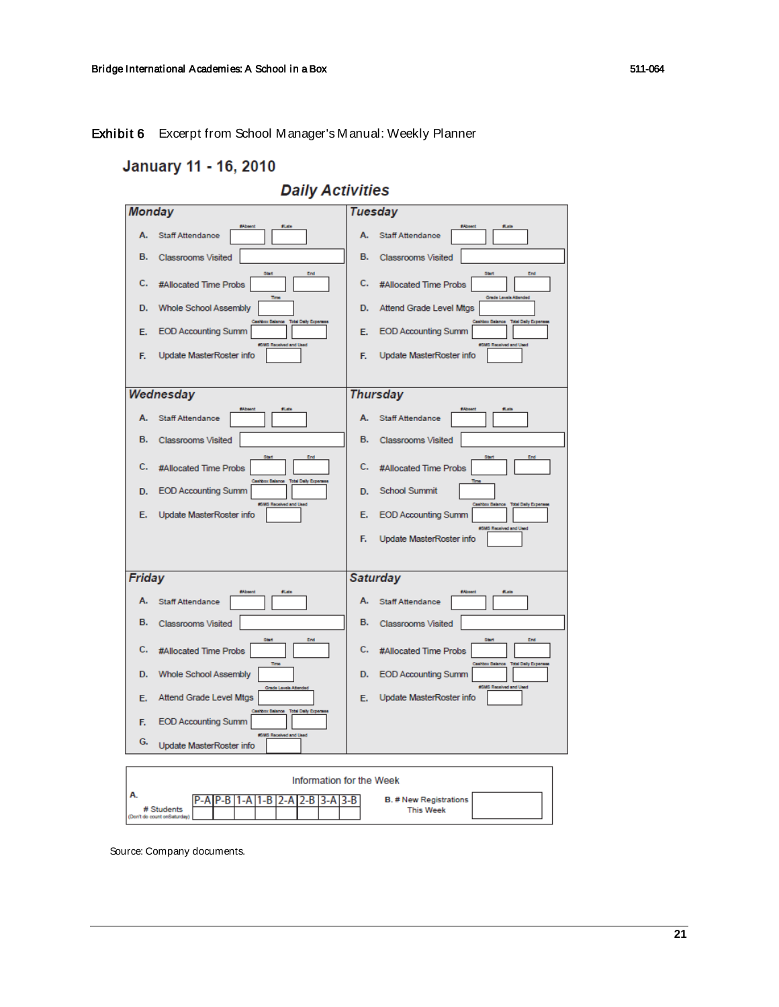# Exhibit 6 Excerpt from School Manager's Manual: Weekly Planner

# January 11 - 16, 2010

# **Daily Activities**

| <b>Monday</b>                                                                                                         | <b>Tuesday</b>                                                                                                                   |  |  |  |  |
|-----------------------------------------------------------------------------------------------------------------------|----------------------------------------------------------------------------------------------------------------------------------|--|--|--|--|
| <b>Staff Attendance</b><br>А.                                                                                         | <b>fints</b><br><b>fl.ats</b><br>А.<br><b>Staff Attendance</b>                                                                   |  |  |  |  |
| <b>B.</b><br>Classrooms Visited                                                                                       | <b>B.</b><br>Classrooms Visited                                                                                                  |  |  |  |  |
| c.<br>#Allocated Time Probs                                                                                           | End<br>Start<br>End<br>Start<br>c.<br>#Allocated Time Probs<br>m <sub>m</sub><br>Grade Levels Atlanded                           |  |  |  |  |
| <b>Whole School Assembly</b><br>D.                                                                                    | Attend Grade Level Mtgs<br>D.<br>ashbox Balance<br><b>Milton Balance</b><br><b>Total Daily Exper</b><br><b>Total Daily Expen</b> |  |  |  |  |
| <b>EOD Accounting Summ</b><br>E.                                                                                      | <b>EOD Accounting Summ</b><br>E.<br><b>KIMS Received and Used</b><br><b>GMS Received and Used</b>                                |  |  |  |  |
| Update MasterRoster info<br>F.                                                                                        | Update MasterRoster info<br>F.                                                                                                   |  |  |  |  |
|                                                                                                                       |                                                                                                                                  |  |  |  |  |
| Wednesday                                                                                                             | <b>Thursday</b><br><b>flate</b>                                                                                                  |  |  |  |  |
| А.<br><b>Staff Attendance</b>                                                                                         | <b>Staff Attendance</b><br>А.                                                                                                    |  |  |  |  |
| в.<br><b>Classrooms Visited</b>                                                                                       | в.<br><b>Classrooms Visited</b>                                                                                                  |  |  |  |  |
| c.<br>#Allocated Time Probs                                                                                           | End<br>Start<br>End<br>c.<br>#Allocated Time Probs<br>ashbox Balance                                                             |  |  |  |  |
| <b>EOD Accounting Summ</b><br>D.                                                                                      | <b>Total Daily Exper</b><br><b>School Summit</b><br>D.<br>#5MS Received and Used<br><b>Total Daily Expense</b>                   |  |  |  |  |
| Update MasterRoster info<br>Е.                                                                                        | <b>EOD Accounting Summ</b><br>Е.<br><b>6MS Received and Used</b>                                                                 |  |  |  |  |
|                                                                                                                       | Update MasterRoster info<br>F.                                                                                                   |  |  |  |  |
|                                                                                                                       |                                                                                                                                  |  |  |  |  |
| Friday                                                                                                                | <b>Saturday</b><br><b>films</b><br><b>flate</b>                                                                                  |  |  |  |  |
| <b>SAbsent</b><br>А.<br><b>Staff Attendance</b>                                                                       | <b>SAbsent</b><br>А.<br><b>Staff Attendance</b>                                                                                  |  |  |  |  |
| в.<br><b>Classrooms Visited</b>                                                                                       | в.<br><b>Classrooms Visited</b>                                                                                                  |  |  |  |  |
| c.<br>#Allocated Time Probs                                                                                           | Start<br>End<br>Start<br>End<br>c.<br>#Allocated Time Probs                                                                      |  |  |  |  |
| D.<br><b>Whole School Assembly</b>                                                                                    | Time<br>idal Daily Expen<br><b>Chox Balance</b><br><b>EOD Accounting Summ</b><br>D.<br><b>6MS Received and Used</b>              |  |  |  |  |
| Attend Grade Level Mtgs<br>E.                                                                                         | Grade Levels Attended<br>Update MasterRoster info<br>E.                                                                          |  |  |  |  |
| <b>EOD Accounting Summ</b><br>F.                                                                                      | <b>Total Daily Expen</b><br><b>Nov Balance</b>                                                                                   |  |  |  |  |
| G.<br>Update MasterRoster info                                                                                        | #SMS Received and Used                                                                                                           |  |  |  |  |
|                                                                                                                       |                                                                                                                                  |  |  |  |  |
| Information for the Week                                                                                              |                                                                                                                                  |  |  |  |  |
| P-B<br>$1 - B$<br>$3-A$ $3-B$<br><b>B. # New Registrations</b><br>1-A<br>2-A<br>2-B<br># Students<br><b>This Week</b> |                                                                                                                                  |  |  |  |  |
| (Den't do count onSaturday)                                                                                           |                                                                                                                                  |  |  |  |  |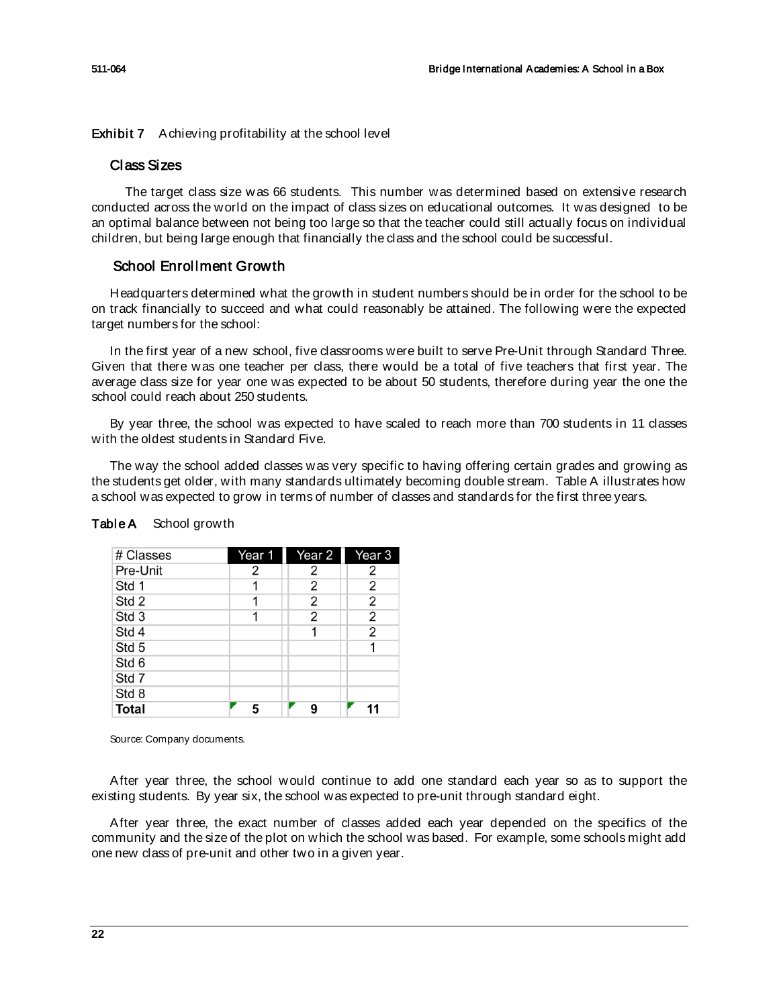Exhibit 7 Achieving profitability at the school level

# Class Sizes

The target class size was 66 students. This number was determined based on extensive research conducted across the world on the impact of class sizes on educational outcomes. It was designed to be an optimal balance between not being too large so that the teacher could still actually focus on individual children, but being large enough that financially the class and the school could be successful.

# School Enrollment Growth

Headquarters determined what the growth in student numbers should be in order for the school to be on track financially to succeed and what could reasonably be attained. The following were the expected target numbers for the school:

In the first year of a new school, five classrooms were built to serve Pre-Unit through Standard Three. Given that there was one teacher per class, there would be a total of five teachers that first year. The average class size for year one was expected to be about 50 students, therefore during year the one the school could reach about 250 students.

By year three, the school was expected to have scaled to reach more than 700 students in 11 classes with the oldest students in Standard Five.

The way the school added classes was very specific to having offering certain grades and growing as the students get older, with many standards ultimately becoming double stream. Table A illustrates how a school was expected to grow in terms of number of classes and standards for the first three years.

| # Classes        | Year 1 | Year 2         | Year 3         |
|------------------|--------|----------------|----------------|
| Pre-Unit         | 2      | 2              | 2              |
| Std 1            |        | $\overline{2}$ | $\overline{2}$ |
| Std 2            |        | 2              | 2              |
| Std <sub>3</sub> |        | $\overline{2}$ | $\overline{2}$ |
| Std 4            |        |                | 2              |
| Std 5            |        |                | 1              |
| Std 6            |        |                |                |
| Std 7            |        |                |                |
| Std 8            |        |                |                |
| <b>Total</b>     | 5      | q              |                |

# Table A School growth

Source: Company documents.

After year three, the school would continue to add one standard each year so as to support the existing students. By year six, the school was expected to pre-unit through standard eight.

After year three, the exact number of classes added each year depended on the specifics of the community and the size of the plot on which the school was based. For example, some schools might add one new class of pre-unit and other two in a given year.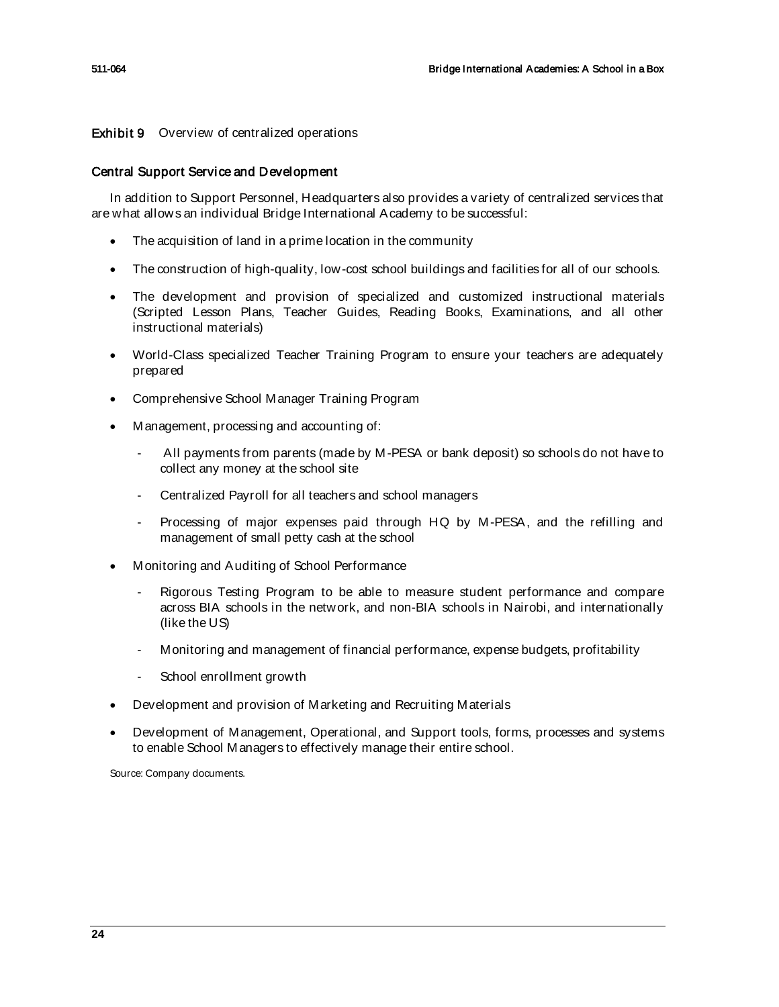Exhibit 9 Overview of centralized operations

# Central Support Service and Development

In addition to Support Personnel, Headquarters also provides a variety of centralized services that are what allows an individual Bridge International Academy to be successful:

- The acquisition of land in a prime location in the community
- The construction of high-quality, low-cost school buildings and facilities for all of our schools.
- The development and provision of specialized and customized instructional materials (Scripted Lesson Plans, Teacher Guides, Reading Books, Examinations, and all other instructional materials)
- World-Class specialized Teacher Training Program to ensure your teachers are adequately prepared
- Comprehensive School Manager Training Program
- Management, processing and accounting of:
	- All payments from parents (made by M-PESA or bank deposit) so schools do not have to collect any money at the school site
	- Centralized Payroll for all teachers and school managers
	- Processing of major expenses paid through HQ by M-PESA, and the refilling and management of small petty cash at the school
- Monitoring and Auditing of School Performance
	- Rigorous Testing Program to be able to measure student performance and compare across BIA schools in the network, and non-BIA schools in Nairobi, and internationally (like the US)
	- Monitoring and management of financial performance, expense budgets, profitability
	- School enrollment growth
- Development and provision of Marketing and Recruiting Materials
- Development of Management, Operational, and Support tools, forms, processes and systems to enable School Managers to effectively manage their entire school.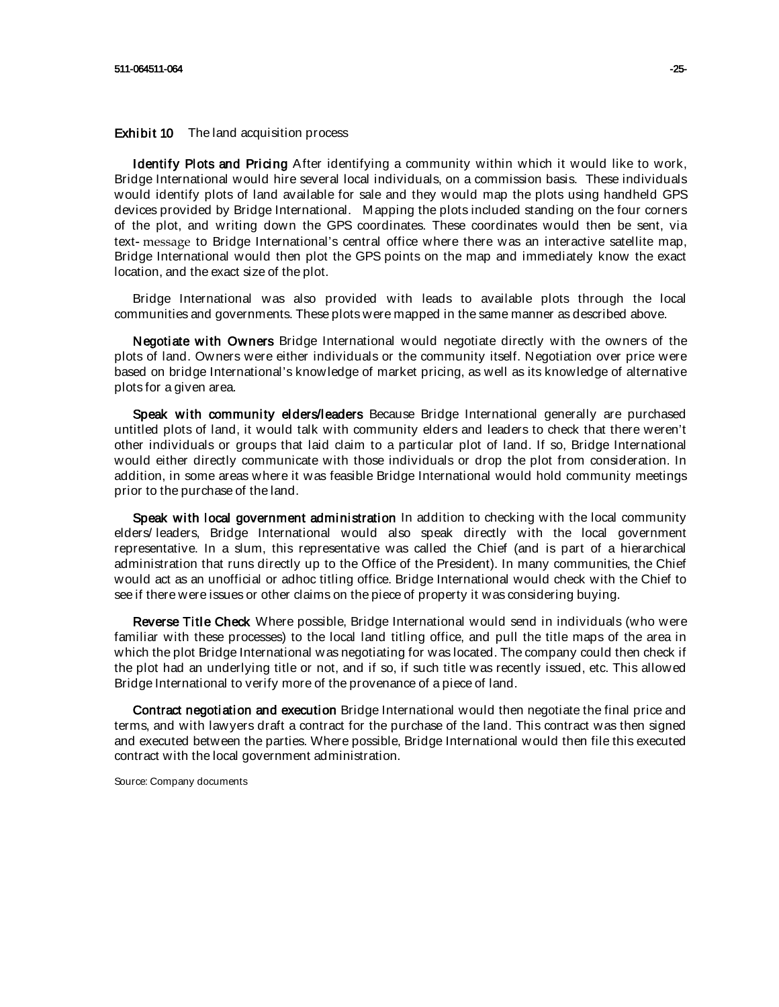### Exhibit 10 The land acquisition process

Identify Plots and Pricing After identifying a community within which it would like to work, Bridge International would hire several local individuals, on a commission basis. These individuals would identify plots of land available for sale and they would map the plots using handheld GPS devices provided by Bridge International. Mapping the plots included standing on the four corners of the plot, and writing down the GPS coordinates. These coordinates would then be sent, via text‐ message to Bridge International's central office where there was an interactive satellite map, Bridge International would then plot the GPS points on the map and immediately know the exact location, and the exact size of the plot.

Bridge International was also provided with leads to available plots through the local communities and governments. These plots were mapped in the same manner as described above.

Negotiate with Owners Bridge International would negotiate directly with the owners of the plots of land. Owners were either individuals or the community itself. Negotiation over price were based on bridge International's knowledge of market pricing, as well as its knowledge of alternative plots for a given area.

Speak with community elders/leaders Because Bridge International generally are purchased untitled plots of land, it would talk with community elders and leaders to check that there weren't other individuals or groups that laid claim to a particular plot of land. If so, Bridge International would either directly communicate with those individuals or drop the plot from consideration. In addition, in some areas where it was feasible Bridge International would hold community meetings prior to the purchase of the land.

Speak with local government administration In addition to checking with the local community elders/ leaders, Bridge International would also speak directly with the local government representative. In a slum, this representative was called the Chief (and is part of a hierarchical administration that runs directly up to the Office of the President). In many communities, the Chief would act as an unofficial or adhoc titling office. Bridge International would check with the Chief to see if there were issues or other claims on the piece of property it was considering buying.

Reverse Title Check Where possible, Bridge International would send in individuals (who were familiar with these processes) to the local land titling office, and pull the title maps of the area in which the plot Bridge International was negotiating for was located. The company could then check if the plot had an underlying title or not, and if so, if such title was recently issued, etc. This allowed Bridge International to verify more of the provenance of a piece of land.

Contract negotiation and execution Bridge International would then negotiate the final price and terms, and with lawyers draft a contract for the purchase of the land. This contract was then signed and executed between the parties. Where possible, Bridge International would then file this executed contract with the local government administration.